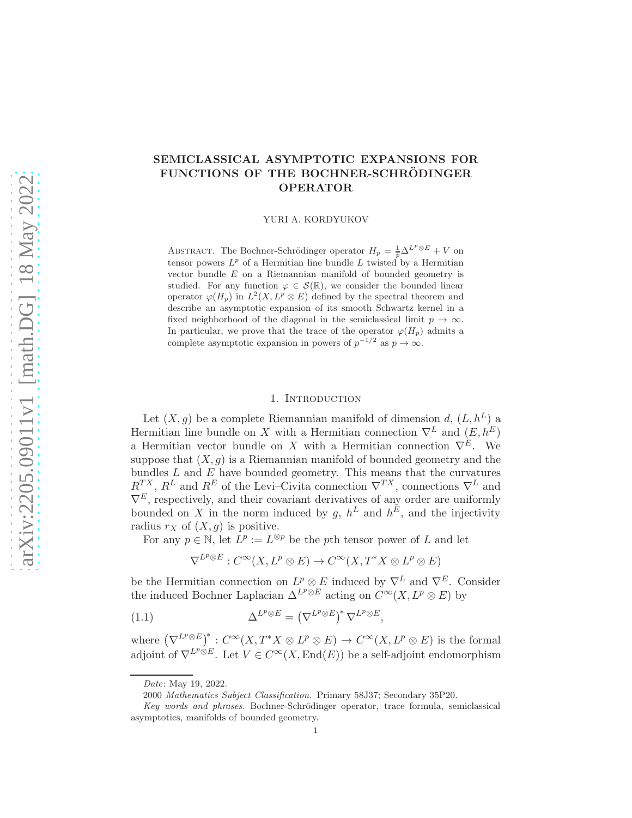# SEMICLASSICAL ASYMPTOTIC EXPANSIONS FOR FUNCTIONS OF THE BOCHNER-SCHRÖDINGER OPERATOR

YURI A. KORDYUKOV

ABSTRACT. The Bochner-Schrödinger operator  $H_p = \frac{1}{p} \Delta^{L^p \otimes E} + V$  on tensor powers  $L^p$  of a Hermitian line bundle L twisted by a Hermitian vector bundle E on a Riemannian manifold of bounded geometry is studied. For any function  $\varphi \in \mathcal{S}(\mathbb{R})$ , we consider the bounded linear operator  $\varphi(H_p)$  in  $L^2(X, L^p \otimes E)$  defined by the spectral theorem and describe an asymptotic expansion of its smooth Schwartz kernel in a fixed neighborhood of the diagonal in the semiclassical limit  $p \to \infty$ . In particular, we prove that the trace of the operator  $\varphi(H_n)$  admits a complete asymptotic expansion in powers of  $p^{-1/2}$  as  $p \to \infty$ .

# 1. INTRODUCTION

Let  $(X, g)$  be a complete Riemannian manifold of dimension d,  $(L, h^L)$  a Hermitian line bundle on X with a Hermitian connection  $\nabla^L$  and  $(E, h^E)$ a Hermitian vector bundle on X with a Hermitian connection  $\nabla^E$ . We suppose that  $(X, g)$  is a Riemannian manifold of bounded geometry and the bundles  $L$  and  $E$  have bounded geometry. This means that the curvatures  $R^{TX}$ ,  $R^L$  and  $R^E$  of the Levi–Civita connection  $\nabla^{TX}$ , connections  $\nabla^L$  and  $\nabla^E$ , respectively, and their covariant derivatives of any order are uniformly bounded on X in the norm induced by g,  $h^L$  and  $h^E$ , and the injectivity radius  $r_X$  of  $(X, g)$  is positive.

For any  $p \in \mathbb{N}$ , let  $L^p := L^{\otimes p}$  be the pth tensor power of L and let

$$
\nabla^{L^p \otimes E} : C^{\infty}(X, L^p \otimes E) \to C^{\infty}(X, T^*X \otimes L^p \otimes E)
$$

be the Hermitian connection on  $L^p \otimes E$  induced by  $\nabla^L$  and  $\nabla^E$ . Consider the induced Bochner Laplacian  $\Delta^{L^p \otimes E}$  acting on  $C^{\infty}(X, L^p \otimes E)$  by

(1.1) 
$$
\Delta^{L^p \otimes E} = (\nabla^{L^p \otimes E})^* \nabla^{L^p \otimes E},
$$

where  $(\nabla^{L^p \otimes E})^* : C^{\infty}(X, T^*X \otimes L^p \otimes E) \to C^{\infty}(X, L^p \otimes E)$  is the formal adjoint of  $\nabla^{L^p \otimes E}$ . Let  $V \in C^{\infty}(X, \text{End}(E))$  be a self-adjoint endomorphism

Date: May 19, 2022.

<sup>2000</sup> Mathematics Subject Classification. Primary 58J37; Secondary 35P20.

Key words and phrases. Bochner-Schrödinger operator, trace formula, semiclassical asymptotics, manifolds of bounded geometry.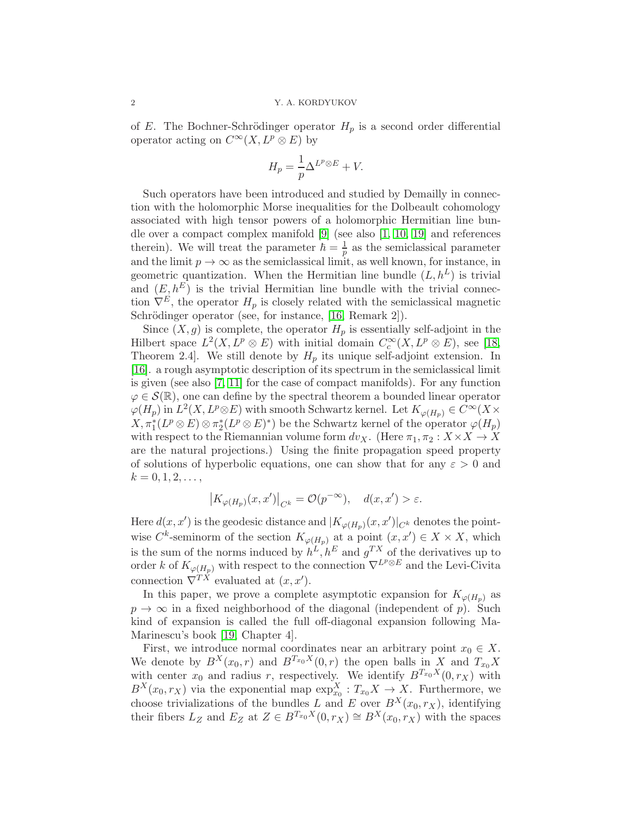of E. The Bochner-Schrödinger operator  $H_p$  is a second order differential operator acting on  $C^{\infty}(X, L^p \otimes E)$  by

$$
H_p = \frac{1}{p} \Delta^{L^p \otimes E} + V.
$$

Such operators have been introduced and studied by Demailly in connection with the holomorphic Morse inequalities for the Dolbeault cohomology associated with high tensor powers of a holomorphic Hermitian line bundle over a compact complex manifold [\[9\]](#page-21-0) (see also [\[1,](#page-21-1) [10,](#page-21-2) [19\]](#page-22-0) and references therein). We will treat the parameter  $\hbar = \frac{1}{n}$  $\frac{1}{p}$  as the semiclassical parameter and the limit  $p \to \infty$  as the semiclassical limit, as well known, for instance, in geometric quantization. When the Hermitian line bundle  $(L, h^L)$  is trivial and  $(E, h^E)$  is the trivial Hermitian line bundle with the trivial connection  $\nabla^E$ , the operator  $H_p$  is closely related with the semiclassical magnetic Schrödinger operator (see, for instance, [\[16,](#page-22-1) Remark 2]).

Since  $(X, g)$  is complete, the operator  $H_p$  is essentially self-adjoint in the Hilbert space  $L^2(X, L^p \otimes E)$  with initial domain  $C_c^{\infty}(X, L^p \otimes E)$ , see [\[18,](#page-22-2) Theorem 2.4]. We still denote by  $H_p$  its unique self-adjoint extension. In [\[16\]](#page-22-1). a rough asymptotic description of its spectrum in the semiclassical limit is given (see also [\[7,](#page-21-3) [11\]](#page-21-4) for the case of compact manifolds). For any function  $\varphi \in \mathcal{S}(\mathbb{R})$ , one can define by the spectral theorem a bounded linear operator  $\varphi(H_p)$  in  $L^2(X, L^p \otimes E)$  with smooth Schwartz kernel. Let  $K_{\varphi(H_p)} \in C^{\infty}(X \times$  $X, \pi_1^*(L^p \otimes E) \otimes \pi_2^*(L^p \otimes E)^*)$  be the Schwartz kernel of the operator  $\varphi(H_p)$ with respect to the Riemannian volume form  $dv_X$ . (Here  $\pi_1, \pi_2 : X \times X \to X$ are the natural projections.) Using the finite propagation speed property of solutions of hyperbolic equations, one can show that for any  $\varepsilon > 0$  and  $k = 0, 1, 2, \ldots,$ 

$$
\left|K_{\varphi(H_p)}(x, x')\right|_{C^k} = \mathcal{O}(p^{-\infty}), \quad d(x, x') > \varepsilon.
$$

Here  $d(x, x')$  is the geodesic distance and  $|K_{\varphi(H_p)}(x, x')|_{C^k}$  denotes the pointwise  $C^k$ -seminorm of the section  $K_{\varphi(H_p)}$  at a point  $(x, x') \in X \times X$ , which is the sum of the norms induced by  $h^L, h^E$  and  $g^{TX}$  of the derivatives up to order k of  $K_{\varphi(H_p)}$  with respect to the connection  $\nabla^{L^p \otimes E}$  and the Levi-Civita connection  $\nabla^{TX}$  evaluated at  $(x, x')$ .

In this paper, we prove a complete asymptotic expansion for  $K_{\varphi(H_p)}$  as  $p \to \infty$  in a fixed neighborhood of the diagonal (independent of p). Such kind of expansion is called the full off-diagonal expansion following Ma-Marinescu's book [\[19,](#page-22-0) Chapter 4].

First, we introduce normal coordinates near an arbitrary point  $x_0 \in X$ . We denote by  $B^{X}(x_0, r)$  and  $B^{T_{x_0}X}(0, r)$  the open balls in X and  $T_{x_0}X$ with center  $x_0$  and radius r, respectively. We identify  $B^{T_{x_0}X}(0, r_X)$  with  $B^{X}(x_0, r_X)$  via the exponential map  $\exp_{x_0}^{X}: T_{x_0}X \to X$ . Furthermore, we choose trivializations of the bundles L and E over  $B^{X}(x_0, r_X)$ , identifying their fibers  $L_Z$  and  $E_Z$  at  $Z \in B^{T_{x_0}X}(0,r_X) \cong B^{X}(x_0,r_X)$  with the spaces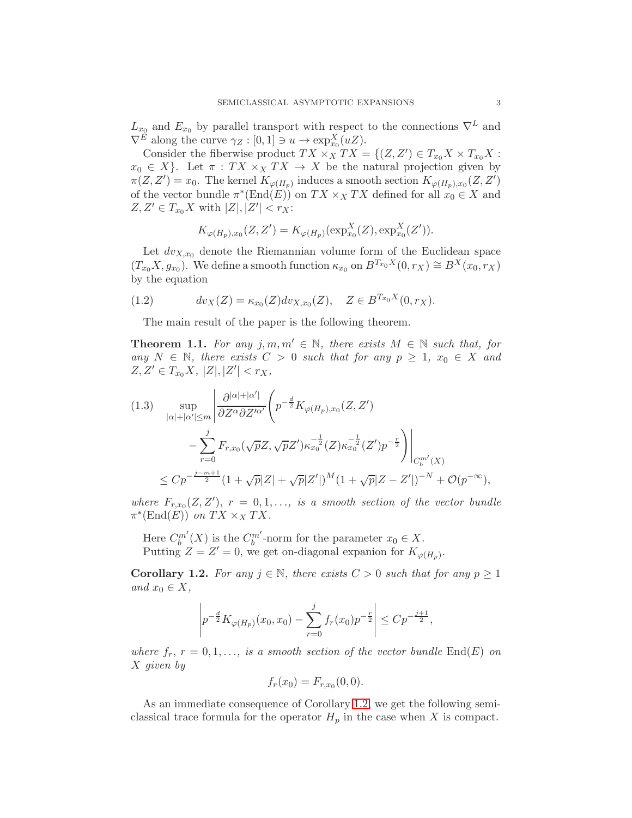$L_{x_0}$  and  $E_{x_0}$  by parallel transport with respect to the connections  $\nabla^L$  and  $\nabla^E$  along the curve  $\gamma_Z : [0,1] \ni u \to \exp_{x_0}^X (uZ)$ .

Consider the fiberwise product  $TX \times_X TX = \{(Z, Z') \in T_{x_0} X \times T_{x_0} X$ :  $x_0 \in X$ . Let  $\pi : TX \times_X TX \to X$  be the natural projection given by  $\pi(Z, Z') = x_0$ . The kernel  $K_{\varphi(H_p)}$  induces a smooth section  $K_{\varphi(H_p), x_0}(Z, Z')$ of the vector bundle  $\pi^*(\text{End}(E))$  on  $TX \times_X TX$  defined for all  $x_0 \in X$  and  $Z, Z' \in T_{x_0} X$  with  $|Z|, |Z'| < r_X$ :

$$
K_{\varphi(H_p),x_0}(Z,Z') = K_{\varphi(H_p)}(\exp_{x_0}^X(Z), \exp_{x_0}^X(Z')).
$$

Let  $dv_{X,x_0}$  denote the Riemannian volume form of the Euclidean space  $(T_{x_0}X, g_{x_0})$ . We define a smooth function  $\kappa_{x_0}$  on  $B^{T_{x_0}X}(0, r_X) \cong B^{X}(x_0, r_X)$ by the equation

(1.2) 
$$
dv_X(Z) = \kappa_{x_0}(Z) dv_{X,x_0}(Z), \quad Z \in B^{T_{x_0}X}(0,r_X).
$$

<span id="page-2-3"></span>The main result of the paper is the following theorem.

<span id="page-2-2"></span>**Theorem 1.1.** For any  $j, m, m' \in \mathbb{N}$ , there exists  $M \in \mathbb{N}$  such that, for any  $N \in \mathbb{N}$ , there exists  $C > 0$  such that for any  $p \geq 1$ ,  $x_0 \in X$  and  $Z, Z' \in T_{x_0} X, |Z|, |Z'| < r_X,$ 

<span id="page-2-1"></span>
$$
(1.3) \sup_{|\alpha|+|\alpha'| \le m} \left| \frac{\partial^{|\alpha|+|\alpha'|}}{\partial Z^{\alpha} \partial Z'^{\alpha'}} \left( p^{-\frac{d}{2}} K_{\varphi(H_p),x_0}(Z, Z') \right) \right|
$$
  

$$
- \sum_{r=0}^{j} F_{r,x_0} (\sqrt{p} Z, \sqrt{p} Z') \kappa_{x_0}^{-\frac{1}{2}} (Z) \kappa_{x_0}^{-\frac{1}{2}} (Z') p^{-\frac{r}{2}} \right) \Big|_{C_b^{m'}(X)}
$$
  

$$
\le C p^{-\frac{j-m+1}{2}} (1 + \sqrt{p}|Z| + \sqrt{p}|Z'|)^M (1 + \sqrt{p}|Z - Z'|)^{-N} + \mathcal{O}(p^{-\infty}),
$$

where  $F_{r,x_0}(Z,Z')$ ,  $r=0,1,\ldots$ , is a smooth section of the vector bundle  $\pi^*(\text{End}(E))$  on  $TX \times_X TX$ .

Here  $C_b^{m'}(X)$  is the  $C_b^{m'}$ -norm for the parameter  $x_0 \in X$ . Putting  $Z = Z' = 0$ , we get on-diagonal expanion for  $K_{\varphi(H_p)}$ .

<span id="page-2-0"></span>Corollary 1.2. For any  $j \in \mathbb{N}$ , there exists  $C > 0$  such that for any  $p \ge 1$ and  $x_0 \in X$ ,

$$
\left| p^{-\frac{d}{2}} K_{\varphi(H_p)}(x_0, x_0) - \sum_{r=0}^j f_r(x_0) p^{-\frac{r}{2}} \right| \le C p^{-\frac{j+1}{2}},
$$

where  $f_r$ ,  $r = 0, 1, \ldots$ , is a smooth section of the vector bundle  $\text{End}(E)$  on X given by

$$
f_r(x_0) = F_{r,x_0}(0,0).
$$

As an immediate consequence of Corollary [1.2,](#page-2-0) we get the following semiclassical trace formula for the operator  $H_p$  in the case when X is compact.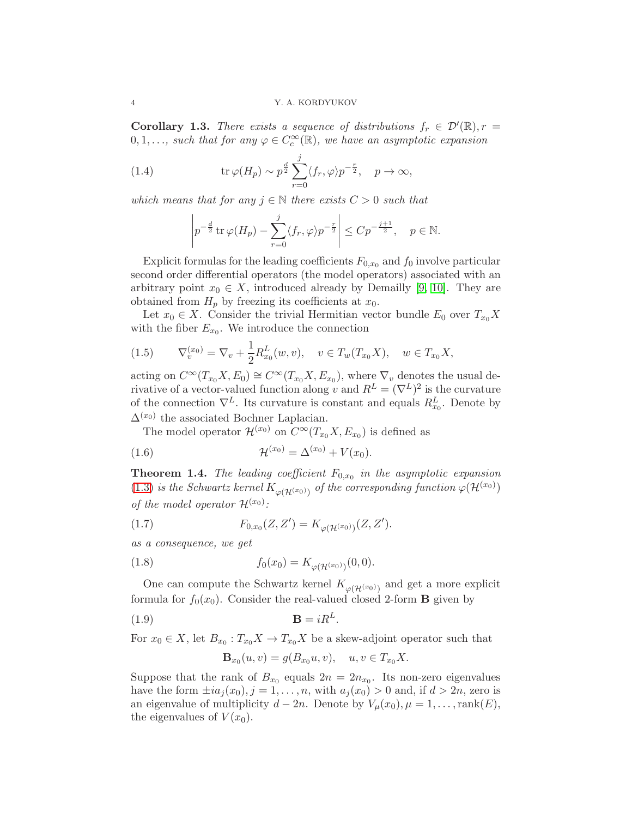**Corollary 1.3.** There exists a sequence of distributions  $f_r \in \mathcal{D}'(\mathbb{R}), r =$  $0, 1, \ldots$ , such that for any  $\varphi \in C_c^{\infty}(\mathbb{R})$ , we have an asymptotic expansion

(1.4) 
$$
\operatorname{tr}\varphi(H_p)\sim p^{\frac{d}{2}}\sum_{r=0}^j \langle f_r,\varphi\rangle p^{-\frac{r}{2}}, \quad p\to\infty,
$$

which means that for any  $j \in \mathbb{N}$  there exists  $C > 0$  such that

<span id="page-3-0"></span>
$$
\left| p^{-\frac{d}{2}} \operatorname{tr} \varphi(H_p) - \sum_{r=0}^j \langle f_r, \varphi \rangle p^{-\frac{r}{2}} \right| \le C p^{-\frac{j+1}{2}}, \quad p \in \mathbb{N}.
$$

Explicit formulas for the leading coefficients  $F_{0,x_0}$  and  $f_0$  involve particular second order differential operators (the model operators) associated with an arbitrary point  $x_0 \in X$ , introduced already by Demailly [\[9,](#page-21-0) [10\]](#page-21-2). They are obtained from  $H_p$  by freezing its coefficients at  $x_0$ .

Let  $x_0 \in X$ . Consider the trivial Hermitian vector bundle  $E_0$  over  $T_{x_0}X$ with the fiber  $E_{x_0}$ . We introduce the connection

<span id="page-3-1"></span>
$$
(1.5) \t\nabla_v^{(x_0)} = \nabla_v + \frac{1}{2} R_{x_0}^L(w, v), \t v \in T_w(T_{x_0}X), \t w \in T_{x_0}X,
$$

acting on  $C^{\infty}(T_{x_0}X, E_0) \cong C^{\infty}(T_{x_0}X, E_{x_0})$ , where  $\nabla_v$  denotes the usual derivative of a vector-valued function along v and  $R^L = (\nabla^L)^2$  is the curvature of the connection  $\nabla^L$ . Its curvature is constant and equals  $R_{x_0}^L$ . Denote by  $\Delta^{(x_0)}$  the associated Bochner Laplacian.

<span id="page-3-2"></span>The model operator  $\mathcal{H}^{(x_0)}$  on  $C^{\infty}(T_{x_0}X, E_{x_0})$  is defined as

(1.6) 
$$
\mathcal{H}^{(x_0)} = \Delta^{(x_0)} + V(x_0).
$$

<span id="page-3-3"></span>**Theorem 1.4.** The leading coefficient  $F_{0,x_0}$  in the asymptotic expansion [\(1.3\)](#page-2-1) is the Schwartz kernel  $K_{\varphi(\mathcal{H}^{(x_0)})}$  of the corresponding function  $\varphi(\mathcal{H}^{(x_0)})$ of the model operator  $\mathcal{H}^{(x_0)}$ :

(1.7) 
$$
F_{0,x_0}(Z,Z') = K_{\varphi(\mathcal{H}^{(x_0)})}(Z,Z').
$$

as a consequence, we get

(1.8) 
$$
f_0(x_0) = K_{\varphi(\mathcal{H}^{(x_0)})}(0,0).
$$

One can compute the Schwartz kernel  $K_{\varphi(\mathcal{H}^{(x_0)})}$  and get a more explicit formula for  $f_0(x_0)$ . Consider the real-valued closed 2-form **B** given by

$$
\mathbf{B} = iR^L.
$$

For  $x_0 \in X$ , let  $B_{x_0}: T_{x_0}X \to T_{x_0}X$  be a skew-adjoint operator such that

<span id="page-3-4"></span>
$$
\mathbf{B}_{x_0}(u,v) = g(B_{x_0}u,v), \quad u,v \in T_{x_0}X.
$$

Suppose that the rank of  $B_{x_0}$  equals  $2n = 2n_{x_0}$ . Its non-zero eigenvalues have the form  $\pm ia_j(x_0), j = 1, \ldots, n$ , with  $a_j(x_0) > 0$  and, if  $d > 2n$ , zero is an eigenvalue of multiplicity  $d - 2n$ . Denote by  $V_\mu(x_0), \mu = 1, \ldots, \text{rank}(E)$ , the eigenvalues of  $V(x_0)$ .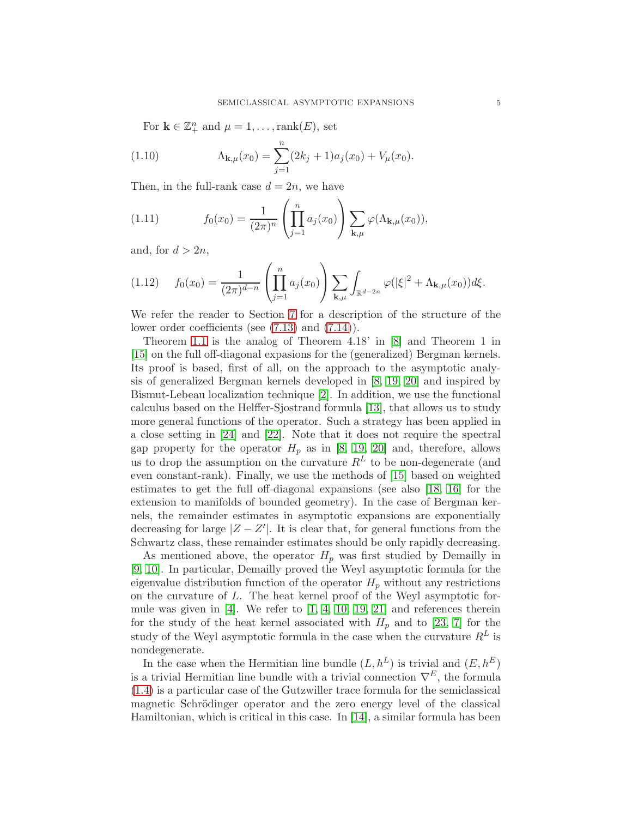For  $\mathbf{k} \in \mathbb{Z}_+^n$  and  $\mu = 1, \ldots, \text{rank}(E)$ , set

(1.10) 
$$
\Lambda_{\mathbf{k},\mu}(x_0) = \sum_{j=1}^n (2k_j + 1)a_j(x_0) + V_\mu(x_0).
$$

Then, in the full-rank case  $d = 2n$ , we have

<span id="page-4-0"></span>(1.11) 
$$
f_0(x_0) = \frac{1}{(2\pi)^n} \left( \prod_{j=1}^n a_j(x_0) \right) \sum_{\mathbf{k},\mu} \varphi(\Lambda_{\mathbf{k},\mu}(x_0)),
$$

and, for  $d > 2n$ ,

<span id="page-4-1"></span>
$$
(1.12) \t f_0(x_0) = \frac{1}{(2\pi)^{d-n}} \left( \prod_{j=1}^n a_j(x_0) \right) \sum_{\mathbf{k},\mu} \int_{\mathbb{R}^{d-2n}} \varphi(|\xi|^2 + \Lambda_{\mathbf{k},\mu}(x_0)) d\xi.
$$

We refer the reader to Section [7](#page-17-0) for a description of the structure of the lower order coefficients (see [\(7.13\)](#page-21-5) and [\(7.14\)](#page-21-6)).

Theorem [1.1](#page-2-2) is the analog of Theorem 4.18' in [\[8\]](#page-21-7) and Theorem 1 in [\[15\]](#page-22-3) on the full off-diagonal expasions for the (generalized) Bergman kernels. Its proof is based, first of all, on the approach to the asymptotic analysis of generalized Bergman kernels developed in [\[8,](#page-21-7) [19,](#page-22-0) [20\]](#page-22-4) and inspired by Bismut-Lebeau localization technique [\[2\]](#page-21-8). In addition, we use the functional calculus based on the Helffer-Sjostrand formula [\[13\]](#page-21-9), that allows us to study more general functions of the operator. Such a strategy has been applied in a close setting in [\[24\]](#page-22-5) and [\[22\]](#page-22-6). Note that it does not require the spectral gap property for the operator  $H_p$  as in [\[8,](#page-21-7) [19,](#page-22-0) [20\]](#page-22-4) and, therefore, allows us to drop the assumption on the curvature  $R<sup>L</sup>$  to be non-degenerate (and even constant-rank). Finally, we use the methods of [\[15\]](#page-22-3) based on weighted estimates to get the full off-diagonal expansions (see also [\[18,](#page-22-2) [16\]](#page-22-1) for the extension to manifolds of bounded geometry). In the case of Bergman kernels, the remainder estimates in asymptotic expansions are exponentially decreasing for large  $|Z - Z'|$ . It is clear that, for general functions from the Schwartz class, these remainder estimates should be only rapidly decreasing.

As mentioned above, the operator  $H_p$  was first studied by Demailly in [\[9,](#page-21-0) [10\]](#page-21-2). In particular, Demailly proved the Weyl asymptotic formula for the eigenvalue distribution function of the operator  $H_p$  without any restrictions on the curvature of L. The heat kernel proof of the Weyl asymptotic formule was given in  $[4]$ . We refer to  $[1, 4, 10, 19, 21]$  $[1, 4, 10, 19, 21]$  $[1, 4, 10, 19, 21]$  $[1, 4, 10, 19, 21]$  $[1, 4, 10, 19, 21]$  and references therein for the study of the heat kernel associated with  $H_p$  and to [\[23,](#page-22-8) [7\]](#page-21-3) for the study of the Weyl asymptotic formula in the case when the curvature  $R^L$  is nondegenerate.

In the case when the Hermitian line bundle  $(L, h^L)$  is trivial and  $(E, h^E)$ is a trivial Hermitian line bundle with a trivial connection  $\nabla^E$ , the formula [\(1.4\)](#page-3-0) is a particular case of the Gutzwiller trace formula for the semiclassical magnetic Schrödinger operator and the zero energy level of the classical Hamiltonian, which is critical in this case. In  $[14]$ , a similar formula has been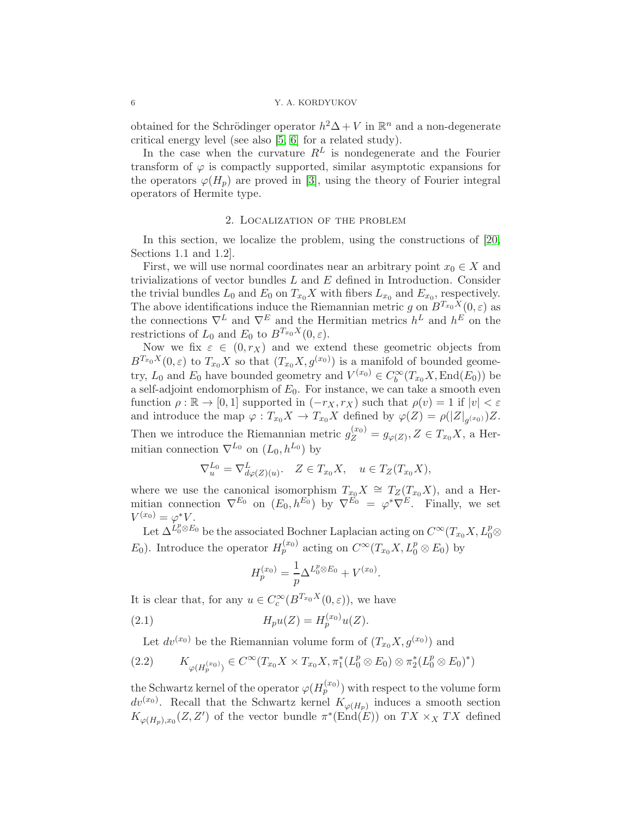obtained for the Schrödinger operator  $h^2\Delta + V$  in  $\mathbb{R}^n$  and a non-degenerate critical energy level (see also [\[5,](#page-21-11) [6\]](#page-21-12) for a related study).

In the case when the curvature  $R^L$  is nondegenerate and the Fourier transform of  $\varphi$  is compactly supported, similar asymptotic expansions for the operators  $\varphi(H_p)$  are proved in [\[3\]](#page-21-13), using the theory of Fourier integral operators of Hermite type.

# 2. Localization of the problem

In this section, we localize the problem, using the constructions of [\[20,](#page-22-4) Sections 1.1 and 1.2].

First, we will use normal coordinates near an arbitrary point  $x_0 \in X$  and trivializations of vector bundles  $L$  and  $E$  defined in Introduction. Consider the trivial bundles  $L_0$  and  $E_0$  on  $T_{x_0}X$  with fibers  $L_{x_0}$  and  $E_{x_0}$ , respectively. The above identifications induce the Riemannian metric g on  $B^{T_{x_0}X}(0, \varepsilon)$  as the connections  $\nabla^L$  and  $\nabla^E$  and the Hermitian metrics  $h^L$  and  $h^E$  on the restrictions of  $L_0$  and  $E_0$  to  $B^{T_{x_0}X}(0,\varepsilon)$ .

Now we fix  $\varepsilon \in (0, r_X)$  and we extend these geometric objects from  $B^{T_{x_0}X}(0,\varepsilon)$  to  $T_{x_0}X$  so that  $(T_{x_0}X, g^{(x_0)})$  is a manifold of bounded geometry,  $L_0$  and  $E_0$  have bounded geometry and  $V^{(x_0)} \in C_b^{\infty}(T_{x_0}X, \text{End}(E_0))$  be a self-adjoint endomorphism of  $E_0$ . For instance, we can take a smooth even function  $\rho : \mathbb{R} \to [0,1]$  supported in  $(-r_X, r_X)$  such that  $\rho(v) = 1$  if  $|v| < \varepsilon$ and introduce the map  $\varphi: T_{x_0}X \to T_{x_0}X$  defined by  $\varphi(Z) = \rho(|Z|_{g^{(x_0)}})Z$ . Then we introduce the Riemannian metric  $g_Z^{(x_0)} = g_{\varphi(Z)}, Z \in T_{x_0}X$ , a Hermitian connection  $\nabla^{L_0}$  on  $(L_0, h^{L_0})$  by

$$
\nabla_u^{L_0} = \nabla_{d\varphi(Z)(u)}^L, \quad Z \in T_{x_0}X, \quad u \in T_Z(T_{x_0}X),
$$

where we use the canonical isomorphism  $T_{x_0}X \cong T_Z(T_{x_0}X)$ , and a Hermitian connection  $\nabla^{E_0}$  on  $(E_0, h^{E_0})$  by  $\nabla^{E_0} = \varphi^* \nabla^{E}$ . Finally, we set  $V^{(x_0)} = \varphi^* V.$ 

Let  $\Delta^{L_0^p \otimes E_0}$  be the associated Bochner Laplacian acting on  $C^\infty(T_{x_0}X, L_0^p \otimes E_0)$  $E_0$ ). Introduce the operator  $H_p^{(x_0)}$  acting on  $C^{\infty}(T_{x_0}X, L_0^p \otimes E_0)$  by

<span id="page-5-0"></span>
$$
H_p^{(x_0)} = \frac{1}{p} \Delta^{L_0^p \otimes E_0} + V^{(x_0)}.
$$

It is clear that, for any  $u \in C_c^{\infty}(B^{T_{x_0}X}(0,\varepsilon))$ , we have

(2.1) 
$$
H_p u(Z) = H_p^{(x_0)} u(Z).
$$

Let  $dv^{(x_0)}$  be the Riemannian volume form of  $(T_{x_0}X, g^{(x_0)})$  and

$$
(2.2) \qquad K_{\varphi(H_p^{(x_0)})} \in C^{\infty}(T_{x_0}X \times T_{x_0}X, \pi_1^*(L_0^p \otimes E_0) \otimes \pi_2^*(L_0^p \otimes E_0)^*)
$$

the Schwartz kernel of the operator  $\varphi(H_p^{(x_0)})$  with respect to the volume form  $dv^{(x_0)}$ . Recall that the Schwartz kernel  $K_{\varphi(H_p)}$  induces a smooth section  $K_{\varphi(H_p),x_0}(Z,Z')$  of the vector bundle  $\pi^*(\text{End}(E))$  on  $TX \times_X TX$  defined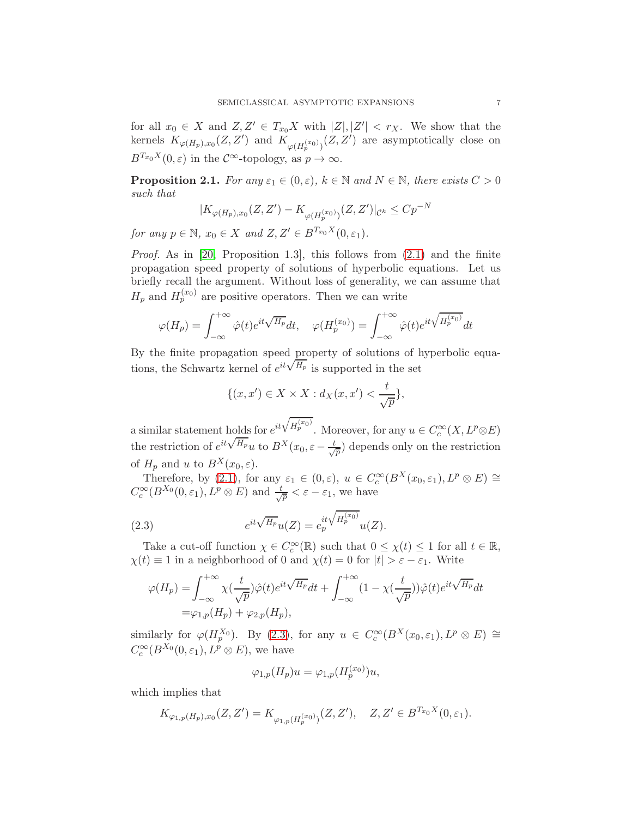for all  $x_0 \in X$  and  $Z, Z' \in T_{x_0}X$  with  $|Z|, |Z'| < r_X$ . We show that the kernels  $K_{\varphi(H_p),x_0}(Z,Z')$  and  $K_{\varphi(H_p^{(x_0)})}(Z,Z')$  are asymptotically close on  $B^{T_{x_0}X}(0,\varepsilon)$  in the  $\mathcal{C}^{\infty}$ -topology, as  $p \to \infty$ .

<span id="page-6-1"></span>**Proposition 2.1.** For any  $\varepsilon_1 \in (0, \varepsilon)$ ,  $k \in \mathbb{N}$  and  $N \in \mathbb{N}$ , there exists  $C > 0$ such that

$$
|K_{\varphi(H_p),x_0}(Z,Z') - K_{\varphi(H_p^{(x_0)})}(Z,Z')|_{\mathcal{C}^k} \leq C p^{-N}
$$

for any  $p \in \mathbb{N}$ ,  $x_0 \in X$  and  $Z, Z' \in B^{T_{x_0}X}(0, \varepsilon_1)$ .

Proof. As in [\[20,](#page-22-4) Proposition 1.3], this follows from [\(2.1\)](#page-5-0) and the finite propagation speed property of solutions of hyperbolic equations. Let us briefly recall the argument. Without loss of generality, we can assume that  $H_p$  and  $H_p^{(x_0)}$  are positive operators. Then we can write

$$
\varphi(H_p) = \int_{-\infty}^{+\infty} \hat{\varphi}(t) e^{it\sqrt{H_p}} dt, \quad \varphi(H_p^{(x_0)}) = \int_{-\infty}^{+\infty} \hat{\varphi}(t) e^{it\sqrt{H_p^{(x_0)}}} dt
$$

By the finite propagation speed property of solutions of hyperbolic equations, the Schwartz kernel of  $e^{it\sqrt{H_p}}$  is supported in the set

$$
\{(x, x') \in X \times X : d_X(x, x') < \frac{t}{\sqrt{p}}\},
$$

a similar statement holds for  $e^{it\sqrt{H_p^{(x_0)}}}$ . Moreover, for any  $u \in C_c^{\infty}(X, L^p \otimes E)$ the restriction of  $e^{it\sqrt{H_p}}u$  to  $B^X(x_0,\varepsilon-\frac{t}{\sqrt{2}})$  $\frac{1}{p}$  depends only on the restriction of  $H_p$  and u to  $B^X(x_0, \varepsilon)$ .

Therefore, by [\(2.1\)](#page-5-0), for any  $\varepsilon_1 \in (0,\varepsilon)$ ,  $u \in C_c^{\infty}(B^X(x_0,\varepsilon_1), L^p \otimes E) \cong$  $C_c^{\infty}(B^{X_0}(0,\varepsilon_1), L^p \otimes E)$  and  $\frac{t}{\sqrt{p}} < \varepsilon - \varepsilon_1$ , we have

(2.3) 
$$
e^{it\sqrt{H_p}}u(Z) = e_p^{it\sqrt{H_p^{(x_0)}}}u(Z).
$$

Take a cut-off function  $\chi \in C_c^{\infty}(\mathbb{R})$  such that  $0 \leq \chi(t) \leq 1$  for all  $t \in \mathbb{R}$ ,  $\chi(t) \equiv 1$  in a neighborhood of 0 and  $\chi(t) = 0$  for  $|t| > \varepsilon - \varepsilon_1$ . Write

<span id="page-6-0"></span>
$$
\varphi(H_p) = \int_{-\infty}^{+\infty} \chi(\frac{t}{\sqrt{p}})\hat{\varphi}(t)e^{it\sqrt{H_p}}dt + \int_{-\infty}^{+\infty} (1 - \chi(\frac{t}{\sqrt{p}}))\hat{\varphi}(t)e^{it\sqrt{H_p}}dt
$$
  
=  $\varphi_{1,p}(H_p) + \varphi_{2,p}(H_p),$ 

similarly for  $\varphi(H_p^{X_0})$ . By [\(2.3\)](#page-6-0), for any  $u \in C_c^{\infty}(B^X(x_0, \varepsilon_1), L^p \otimes E) \cong$  $C_c^{\infty}(B^{X_0}(0,\varepsilon_1), L^p \otimes E)$ , we have

$$
\varphi_{1,p}(H_p)u=\varphi_{1,p}(H_p^{(x_0)})u,
$$

which implies that

$$
K_{\varphi_{1,p}(H_p),x_0}(Z,Z') = K_{\varphi_{1,p}(H_p^{(x_0)})}(Z,Z'), \quad Z, Z' \in B^{T_{x_0}X}(0,\varepsilon_1).
$$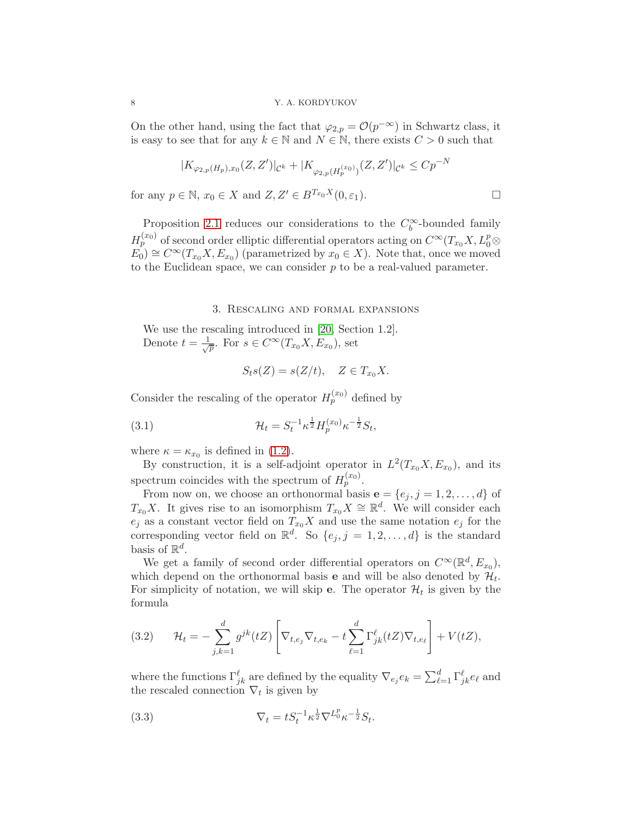On the other hand, using the fact that  $\varphi_{2,p} = \mathcal{O}(p^{-\infty})$  in Schwartz class, it is easy to see that for any  $k \in \mathbb{N}$  and  $N \in \mathbb{N}$ , there exists  $C > 0$  such that

$$
|K_{\varphi_{2,p}(H_p),x_0}(Z,Z')|_{\mathcal{C}^k} + |K_{\varphi_{2,p}(H_p^{(x_0)})}(Z,Z')|_{\mathcal{C}^k} \leq Cp^{-N}
$$
  

$$
0 \in \mathbb{N} \text{ and } Z \mid Z' \in R^{T_{x_0}X}(0,\varepsilon_1)
$$

for any  $p \in \mathbb{N}$ ,  $x_0 \in X$  and  $Z, Z' \in B^{I_{x_0}A}(0, \varepsilon_1)$ .

Proposition [2.1](#page-6-1) reduces our considerations to the  $C_b^{\infty}$ -bounded family  $H_p^{(x_0)}$  of second order elliptic differential operators acting on  $C^{\infty}(T_{x_0}X, L_0^p\otimes$  $E_0 \cong C^{\infty}(T_{x_0}X, E_{x_0})$  (parametrized by  $x_0 \in X$ ). Note that, once we moved to the Euclidean space, we can consider  $p$  to be a real-valued parameter.

#### 3. Rescaling and formal expansions

We use the rescaling introduced in [\[20,](#page-22-4) Section 1.2]. Denote  $t = \frac{1}{\sqrt{2}}$  $\overline{p}$ . For  $s \in C^{\infty}(T_{x_0}X, E_{x_0}),$  set

<span id="page-7-2"></span>
$$
S_t s(Z) = s(Z/t), \quad Z \in T_{x_0} X.
$$

Consider the rescaling of the operator  $H_p^{(x_0)}$  defined by

(3.1) 
$$
\mathcal{H}_t = S_t^{-1} \kappa^{\frac{1}{2}} H_p^{(x_0)} \kappa^{-\frac{1}{2}} S_t,
$$

where  $\kappa = \kappa_{x_0}$  is defined in [\(1.2\)](#page-2-3).

By construction, it is a self-adjoint operator in  $L^2(T_{x_0}X, E_{x_0})$ , and its spectrum coincides with the spectrum of  $H_p^{(x_0)}$ .

From now on, we choose an orthonormal basis  $\mathbf{e} = \{e_j, j = 1, 2, \ldots, d\}$  of  $T_{x_0}X$ . It gives rise to an isomorphism  $T_{x_0}X \cong \mathbb{R}^d$ . We will consider each  $e_j$  as a constant vector field on  $T_{x_0}X$  and use the same notation  $e_j$  for the corresponding vector field on  $\mathbb{R}^d$ . So  $\{e_j, j = 1, 2, \ldots, d\}$  is the standard basis of  $\mathbb{R}^d$ .

We get a family of second order differential operators on  $C^{\infty}(\mathbb{R}^d, E_{x_0}),$ which depend on the orthonormal basis **e** and will be also denoted by  $\mathcal{H}_t$ . For simplicity of notation, we will skip **e**. The operator  $\mathcal{H}_t$  is given by the formula

<span id="page-7-1"></span>(3.2) 
$$
\mathcal{H}_t = -\sum_{j,k=1}^d g^{jk}(tZ) \left[ \nabla_{t,e_j} \nabla_{t,e_k} - t \sum_{\ell=1}^d \Gamma_{jk}^{\ell}(tZ) \nabla_{t,e_\ell} \right] + V(tZ),
$$

where the functions  $\Gamma_{jk}^{\ell}$  are defined by the equality  $\nabla_{e_j} e_k = \sum_{\ell=1}^d \Gamma_{jk}^{\ell} e_\ell$  and the rescaled connection  $\nabla_t$  is given by

<span id="page-7-0"></span>(3.3) 
$$
\nabla_t = t S_t^{-1} \kappa^{\frac{1}{2}} \nabla^{L_0^p} \kappa^{-\frac{1}{2}} S_t.
$$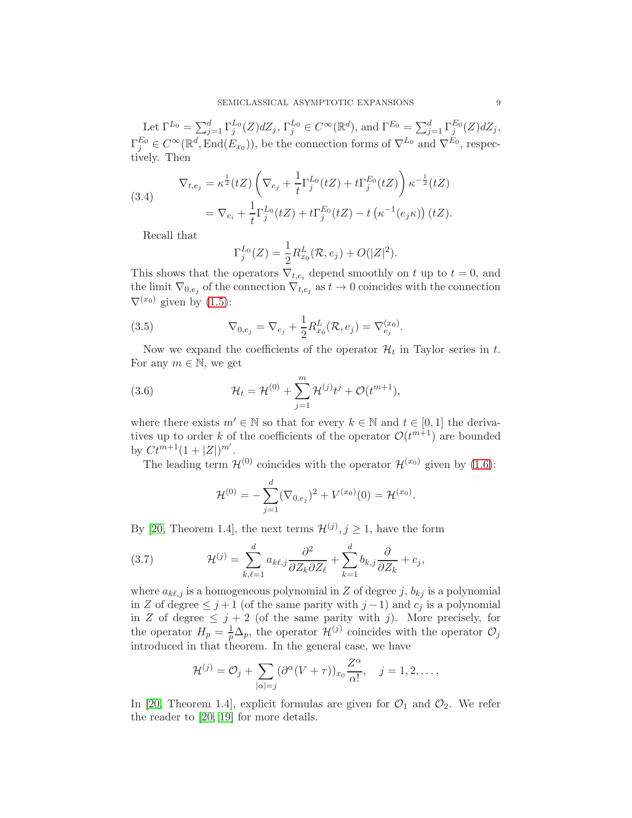Let  $\Gamma^{L_0} = \sum_{j=1}^d \Gamma_j^{L_0}(Z) dZ_j$ ,  $\Gamma_j^{L_0} \in C^\infty(\mathbb{R}^d)$ , and  $\Gamma^{E_0} = \sum_{j=1}^d \Gamma_j^{E_0}(Z) dZ_j$ ,  $\Gamma_j^{E_0} \in C^{\infty}(\mathbb{R}^d, \text{End}(E_{x_0}))$ , be the connection forms of  $\nabla^{L_0}$  and  $\nabla^{E_0}$ , respectively. Then

<span id="page-8-0"></span>(3.4) 
$$
\nabla_{t,e_j} = \kappa^{\frac{1}{2}} (tZ) \left( \nabla_{e_j} + \frac{1}{t} \Gamma_j^{L_0}(tZ) + t \Gamma_j^{E_0}(tZ) \right) \kappa^{-\frac{1}{2}} (tZ)
$$

$$
= \nabla_{e_i} + \frac{1}{t} \Gamma_j^{L_0}(tZ) + t \Gamma_j^{E_0}(tZ) - t \left( \kappa^{-1}(e_j \kappa) \right) (tZ).
$$

Recall that

$$
\Gamma_j^{L_0}(Z) = \frac{1}{2} R_{x_0}^L(\mathcal{R}, e_j) + O(|Z|^2).
$$

This shows that the operators  $\nabla_{t,e_i}$  depend smoothly on t up to  $t = 0$ , and the limit  $\nabla_{0,e_j}$  of the connection  $\nabla_{t,e_j}$  as  $t \to 0$  coincides with the connection  $\nabla^{(x_0)}$  given by [\(1.5\)](#page-3-1):

(3.5) 
$$
\nabla_{0,e_j} = \nabla_{e_j} + \frac{1}{2} R_{x_0}^L(\mathcal{R}, e_j) = \nabla_{e_j}^{(x_0)}.
$$

Now we expand the coefficients of the operator  $\mathcal{H}_t$  in Taylor series in t. For any  $m \in \mathbb{N}$ , we get

(3.6) 
$$
\mathcal{H}_t = \mathcal{H}^{(0)} + \sum_{j=1}^m \mathcal{H}^{(j)} t^j + \mathcal{O}(t^{m+1}),
$$

where there exists  $m' \in \mathbb{N}$  so that for every  $k \in \mathbb{N}$  and  $t \in [0, 1]$  the derivatives up to order k of the coefficients of the operator  $\mathcal{O}(t^{m+1})$  are bounded by  $Ct^{m+1}(1+|Z|)^{m'}$ .

The leading term  $\mathcal{H}^{(0)}$  coincides with the operator  $\mathcal{H}^{(x_0)}$  given by [\(1.6\)](#page-3-2):

<span id="page-8-1"></span>
$$
\mathcal{H}^{(0)} = -\sum_{j=1}^{d} (\nabla_{0,e_j})^2 + V^{(x_0)}(0) = \mathcal{H}^{(x_0)}.
$$

By [\[20,](#page-22-4) Theorem 1.4], the next terms  $\mathcal{H}^{(j)}$ ,  $j \geq 1$ , have the form

(3.7) 
$$
\mathcal{H}^{(j)} = \sum_{k,\ell=1}^d a_{k\ell,j} \frac{\partial^2}{\partial Z_k \partial Z_\ell} + \sum_{k=1}^d b_{k,j} \frac{\partial}{\partial Z_k} + c_j,
$$

where  $a_{k\ell,j}$  is a homogeneous polynomial in Z of degree j,  $b_{kj}$  is a polynomial in Z of degree  $\leq j+1$  (of the same parity with  $j-1$ ) and  $c_j$  is a polynomial in Z of degree  $\leq j+2$  (of the same parity with j). More precisely, for the operator  $H_p = \frac{1}{p}$  $\frac{1}{p}\Delta_p$ , the operator  $\mathcal{H}^{(j)}$  coincides with the operator  $\mathcal{O}_j$ introduced in that theorem. In the general case, we have

$$
\mathcal{H}^{(j)} = \mathcal{O}_j + \sum_{|\alpha|=j} (\partial^{\alpha}(V+\tau))_{x_0} \frac{Z^{\alpha}}{\alpha!}, \quad j = 1, 2, \dots,
$$

In [\[20,](#page-22-4) Theorem 1.4], explicit formulas are given for  $\mathcal{O}_1$  and  $\mathcal{O}_2$ . We refer the reader to [\[20,](#page-22-4) [19\]](#page-22-0) for more details.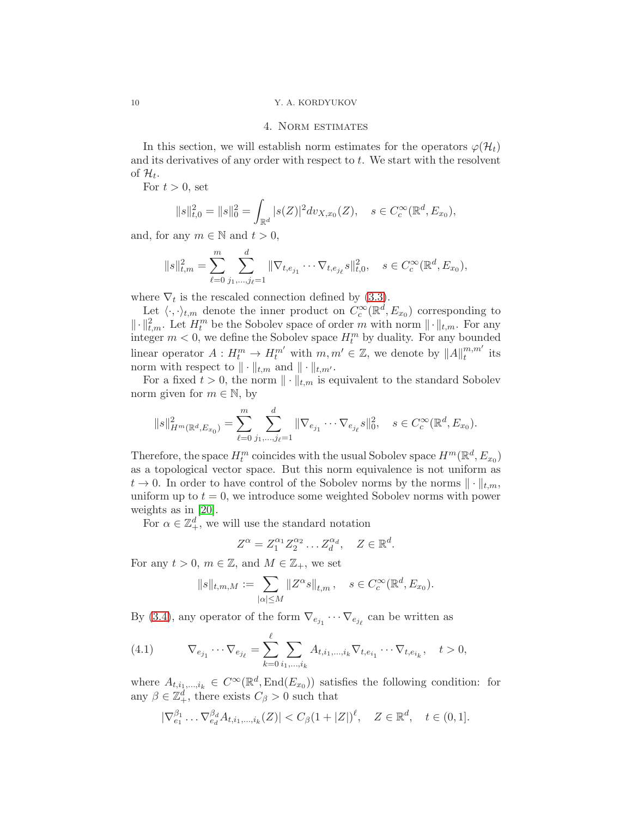## 4. Norm estimates

In this section, we will establish norm estimates for the operators  $\varphi(\mathcal{H}_t)$ and its derivatives of any order with respect to t. We start with the resolvent of  $\mathcal{H}_t$ .

For  $t > 0$ , set

$$
||s||_{t,0}^{2} = ||s||_{0}^{2} = \int_{\mathbb{R}^{d}} |s(Z)|^{2} dv_{X,x_{0}}(Z), \quad s \in C_{c}^{\infty}(\mathbb{R}^{d}, E_{x_{0}}),
$$

and, for any  $m \in \mathbb{N}$  and  $t > 0$ ,

$$
||s||_{t,m}^2 = \sum_{\ell=0}^m \sum_{j_1,\dots,j_\ell=1}^d ||\nabla_{t,e_{j_1}} \cdots \nabla_{t,e_{j_\ell}} s||_{t,0}^2, \quad s \in C_c^\infty(\mathbb{R}^d, E_{x_0}),
$$

where  $\nabla_t$  is the rescaled connection defined by [\(3.3\)](#page-7-0).

Let  $\langle \cdot, \cdot \rangle_{t,m}$  denote the inner product on  $C_c^{\infty}(\mathbb{R}^d, E_{x_0})$  corresponding to  $\|\cdot\|_{t,m}^2$ . Let  $H_t^m$  be the Sobolev space of order m with norm  $\|\cdot\|_{t,m}$ . For any integer  $m < 0$ , we define the Sobolev space  $H_t^m$  by duality. For any bounded linear operator  $A: H_t^m \to H_t^{m'}$  with  $m, m' \in \mathbb{Z}$ , we denote by  $||A||_t^{m,m'}$  $_i^{m,m}$  its norm with respect to  $\|\cdot\|_{t,m}$  and  $\|\cdot\|_{t,m'}$ .

For a fixed  $t > 0$ , the norm  $\|\cdot\|_{t,m}$  is equivalent to the standard Sobolev norm given for  $m \in \mathbb{N}$ , by

$$
||s||_{H^m(\mathbb{R}^d, E_{x_0})}^2 = \sum_{\ell=0}^m \sum_{j_1, \dots, j_\ell=1}^d ||\nabla_{e_{j_1}} \cdots \nabla_{e_{j_\ell}} s||_0^2, \quad s \in C_c^\infty(\mathbb{R}^d, E_{x_0}).
$$

Therefore, the space  $H_t^m$  coincides with the usual Sobolev space  $H^m(\mathbb{R}^d, E_{x_0})$ as a topological vector space. But this norm equivalence is not uniform as  $t \to 0$ . In order to have control of the Sobolev norms by the norms  $\|\cdot\|_{t,m}$ , uniform up to  $t = 0$ , we introduce some weighted Sobolev norms with power weights as in [\[20\]](#page-22-4).

For  $\alpha \in \mathbb{Z}_+^d$ , we will use the standard notation

$$
Z^{\alpha} = Z_1^{\alpha_1} Z_2^{\alpha_2} \dots Z_d^{\alpha_d}, \quad Z \in \mathbb{R}^d.
$$

For any  $t > 0$ ,  $m \in \mathbb{Z}$ , and  $M \in \mathbb{Z}_+$ , we set

$$
||s||_{t,m,M} := \sum_{|\alpha| \le M} ||Z^{\alpha}s||_{t,m}, \quad s \in C_c^{\infty}(\mathbb{R}^d, E_{x_0}).
$$

By [\(3.4\)](#page-8-0), any operator of the form  $\nabla_{e_{j_1}} \cdots \nabla_{e_{j_\ell}}$  can be written as

<span id="page-9-0"></span>(4.1) 
$$
\nabla_{e_{j_1}} \cdots \nabla_{e_{j_\ell}} = \sum_{k=0}^{\ell} \sum_{i_1, ..., i_k} A_{t, i_1, ..., i_k} \nabla_{t, e_{i_1}} \cdots \nabla_{t, e_{i_k}}, \quad t > 0,
$$

where  $A_{t,i_1,\dots,i_k} \in C^{\infty}(\mathbb{R}^d, \text{End}(E_{x_0}))$  satisfies the following condition: for any  $\beta \in \mathbb{Z}_+^d$ , there exists  $C_\beta > 0$  such that

$$
|\nabla_{e_1}^{\beta_1} \dots \nabla_{e_d}^{\beta_d} A_{t, i_1, \dots, i_k}(Z)| < C_\beta (1 + |Z|)^\ell, \quad Z \in \mathbb{R}^d, \quad t \in (0, 1].
$$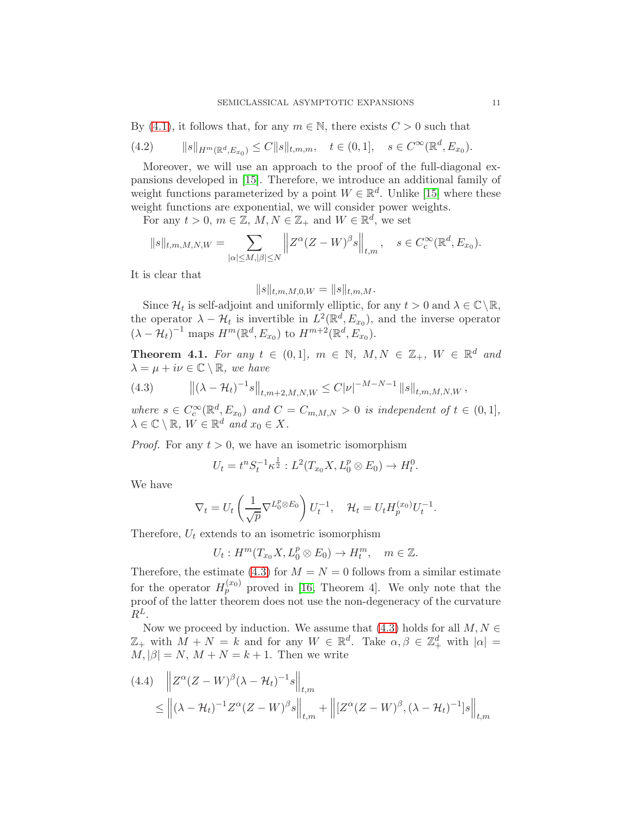By [\(4.1\)](#page-9-0), it follows that, for any  $m \in \mathbb{N}$ , there exists  $C > 0$  such that

<span id="page-10-3"></span>
$$
(4.2) \t\t ||s||_{H^m(\mathbb{R}^d, E_{x_0})} \leq C ||s||_{t,m,m}, \quad t \in (0,1], \quad s \in C^{\infty}(\mathbb{R}^d, E_{x_0}).
$$

Moreover, we will use an approach to the proof of the full-diagonal expansions developed in [\[15\]](#page-22-3). Therefore, we introduce an additional family of weight functions parameterized by a point  $W \in \mathbb{R}^d$ . Unlike [\[15\]](#page-22-3) where these weight functions are exponential, we will consider power weights.

For any  $t > 0$ ,  $m \in \mathbb{Z}$ ,  $M, N \in \mathbb{Z}_+$  and  $W \in \mathbb{R}^d$ , we set

$$
||s||_{t,m,M,N,W} = \sum_{|\alpha| \le M, |\beta| \le N} ||Z^{\alpha} (Z - W)^{\beta} s||_{t,m}, \quad s \in C_c^{\infty}(\mathbb{R}^d, E_{x_0}).
$$

It is clear that

$$
||s||_{t,m,M,0,W}=||s||_{t,m,M}.
$$

Since  $\mathcal{H}_t$  is self-adjoint and uniformly elliptic, for any  $t > 0$  and  $\lambda \in \mathbb{C} \setminus \mathbb{R}$ , the operator  $\lambda - \mathcal{H}_t$  is invertible in  $L^2(\mathbb{R}^d, E_{x_0})$ , and the inverse operator  $(\lambda - H_t)^{-1}$  maps  $H^m(\mathbb{R}^d, E_{x_0})$  to  $H^{m+2}(\mathbb{R}^d, E_{x_0})$ .

<span id="page-10-2"></span>**Theorem 4.1.** For any  $t \in (0,1]$ ,  $m \in \mathbb{N}$ ,  $M, N \in \mathbb{Z}_+$ ,  $W \in \mathbb{R}^d$  and  $\lambda = \mu + i\nu \in \mathbb{C} \setminus \mathbb{R}$ , we have

<span id="page-10-0"></span>(4.3) 
$$
\left\| (\lambda - \mathcal{H}_t)^{-1} s \right\|_{t,m+2,M,N,W} \leq C |\nu|^{-M-N-1} \left\| s \right\|_{t,m,M,N,W},
$$

where  $s \in C_c^{\infty}(\mathbb{R}^d, E_{x_0})$  and  $C = C_{m,M,N} > 0$  is independent of  $t \in (0,1],$  $\lambda \in \mathbb{C} \setminus \mathbb{R}, W \in \mathbb{R}^d$  and  $x_0 \in X$ .

*Proof.* For any  $t > 0$ , we have an isometric isomorphism

$$
U_t = t^n S_t^{-1} \kappa^{\frac{1}{2}} : L^2(T_{x_0} X, L_0^p \otimes E_0) \to H_t^0.
$$

We have

$$
\nabla_t = U_t \left( \frac{1}{\sqrt{p}} \nabla^{L_0^p \otimes E_0} \right) U_t^{-1}, \quad \mathcal{H}_t = U_t H_p^{(x_0)} U_t^{-1}.
$$

Therefore,  $U_t$  extends to an isometric isomorphism

 $U_t: H^m(T_{x_0}X, L_0^p \otimes E_0) \to H_t^m$ ,  $m \in \mathbb{Z}$ .

Therefore, the estimate [\(4.3\)](#page-10-0) for  $M = N = 0$  follows from a similar estimate for the operator  $H_p^{(x_0)}$  proved in [\[16,](#page-22-1) Theorem 4]. We only note that the proof of the latter theorem does not use the non-degeneracy of the curvature  $R^L$ .

Now we proceed by induction. We assume that [\(4.3\)](#page-10-0) holds for all  $M, N \in$  $\mathbb{Z}_+$  with  $M + N = k$  and for any  $W \in \mathbb{R}^d$ . Take  $\alpha, \beta \in \mathbb{Z}_+^d$  with  $|\alpha| =$  $M, |\beta| = N, M + N = k + 1.$  Then we write

<span id="page-10-1"></span>
$$
(4.4) \quad \left\| Z^{\alpha} (Z - W)^{\beta} (\lambda - \mathcal{H}_t)^{-1} s \right\|_{t,m}
$$
  

$$
\leq \left\| (\lambda - \mathcal{H}_t)^{-1} Z^{\alpha} (Z - W)^{\beta} s \right\|_{t,m} + \left\| [Z^{\alpha} (Z - W)^{\beta}, (\lambda - \mathcal{H}_t)^{-1}] s \right\|_{t,m}
$$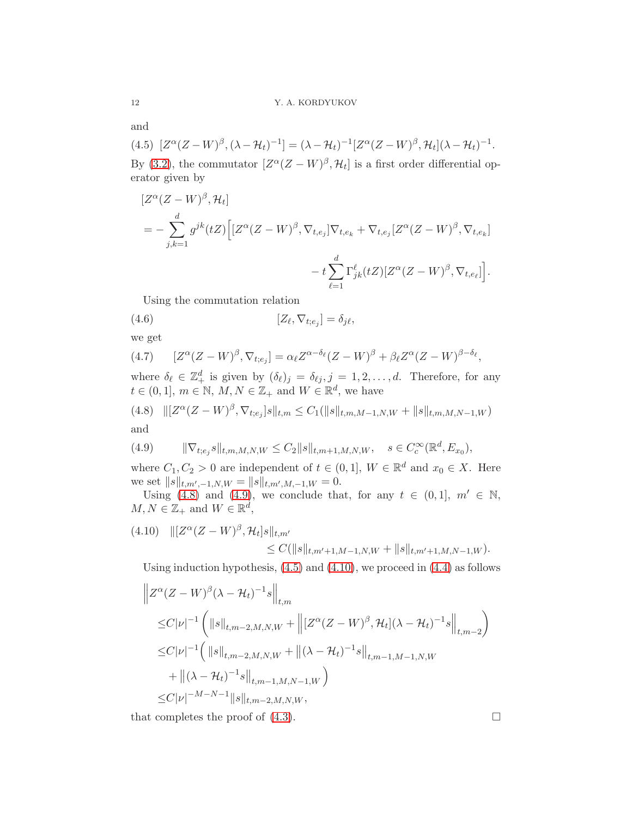and

<span id="page-11-2"></span>(4.5)  $[Z^{\alpha}(Z-W)^{\beta}, (\lambda - \mathcal{H}_t)^{-1}] = (\lambda - \mathcal{H}_t)^{-1} [Z^{\alpha}(Z-W)^{\beta}, \mathcal{H}_t] (\lambda - \mathcal{H}_t)^{-1}.$ By [\(3.2\)](#page-7-1), the commutator  $[Z^{\alpha}(Z-W)^{\beta}, \mathcal{H}_t]$  is a first order differential operator given by

$$
[Z^{\alpha}(Z-W)^{\beta}, \mathcal{H}_{t}]
$$
  
=  $-\sum_{j,k=1}^{d} g^{jk}(tZ) \Big[ [Z^{\alpha}(Z-W)^{\beta}, \nabla_{t,e_j}] \nabla_{t,e_k} + \nabla_{t,e_j} [Z^{\alpha}(Z-W)^{\beta}, \nabla_{t,e_k}]$   
 $- t \sum_{\ell=1}^{d} \Gamma_{jk}^{\ell}(tZ) [Z^{\alpha}(Z-W)^{\beta}, \nabla_{t,e_{\ell}}] \Big].$ 

<span id="page-11-4"></span>Using the commutation relation

(4.6) 
$$
[Z_{\ell}, \nabla_{t;e_j}] = \delta_{j\ell},
$$

we get

$$
(4.7) \qquad [Z^{\alpha}(Z-W)^{\beta}, \nabla_{t;e_j}] = \alpha_{\ell} Z^{\alpha-\delta_{\ell}} (Z-W)^{\beta} + \beta_{\ell} Z^{\alpha} (Z-W)^{\beta-\delta_{\ell}},
$$

where  $\delta_{\ell} \in \mathbb{Z}_+^d$  is given by  $(\delta_{\ell})_j = \delta_{\ell j}, j = 1, 2, \ldots, d$ . Therefore, for any  $t \in (0,1], m \in \mathbb{N}, M, N \in \mathbb{Z}_+$  and  $W \in \mathbb{R}^d$ , we have

<span id="page-11-0"></span>(4.8) 
$$
\| [Z^{\alpha}(Z-W)^{\beta}, \nabla_{t;e_j}]s \|_{t,m} \leq C_1(\|s\|_{t,m,M-1,N,W} + \|s\|_{t,m,M,N-1,W})
$$
 and

<span id="page-11-1"></span>(4.9) 
$$
\|\nabla_{t,e_j} s\|_{t,m,M,N,W} \leq C_2 \|s\|_{t,m+1,M,N,W}, \quad s \in C_c^{\infty}(\mathbb{R}^d, E_{x_0}),
$$

where  $C_1, C_2 > 0$  are independent of  $t \in (0,1], W \in \mathbb{R}^d$  and  $x_0 \in X$ . Here we set  $||s||_{t,m',-1,N,W} = ||s||_{t,m',M,-1,W} = 0.$ 

Using [\(4.8\)](#page-11-0) and [\(4.9\)](#page-11-1), we conclude that, for any  $t \in (0,1], m' \in \mathbb{N}$ ,  $M, N \in \mathbb{Z}_+$  and  $W \in \mathbb{R}^d$ ,

<span id="page-11-3"></span>
$$
(4.10) \quad ||[Z^{\alpha}(Z-W)^{\beta}, \mathcal{H}_t]s||_{t,m'} \leq C(||s||_{t,m'+1,M-1,N,W} + ||s||_{t,m'+1,M,N-1,W}).
$$

Using induction hypothesis, [\(4.5\)](#page-11-2) and [\(4.10\)](#page-11-3), we proceed in [\(4.4\)](#page-10-1) as follows

$$
\|Z^{\alpha}(Z-W)^{\beta}(\lambda - \mathcal{H}_{t})^{-1}s\|_{t,m}
$$
  
\n
$$
\leq C|\nu|^{-1} \left( \|s\|_{t,m-2,M,N,W} + \left\| [Z^{\alpha}(Z-W)^{\beta}, \mathcal{H}_{t}](\lambda - \mathcal{H}_{t})^{-1}s\right\|_{t,m-2} \right)
$$
  
\n
$$
\leq C|\nu|^{-1} \left( \|s\|_{t,m-2,M,N,W} + \|(\lambda - \mathcal{H}_{t})^{-1}s\|_{t,m-1,M-1,N,W} + \|(\lambda - \mathcal{H}_{t})^{-1}s\|_{t,m-1,M,N-1,W} \right)
$$
  
\n
$$
\leq C|\nu|^{-M-N-1} \|s\|_{t,m-2,M,N,W},
$$

that completes the proof of  $(4.3)$ .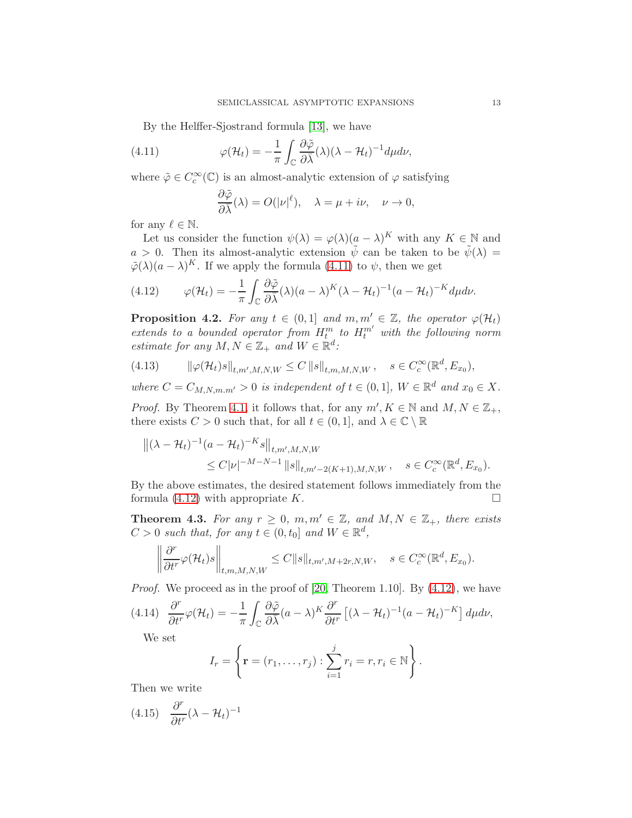By the Helffer-Sjostrand formula [\[13\]](#page-21-9), we have

(4.11) 
$$
\varphi(\mathcal{H}_t) = -\frac{1}{\pi} \int_{\mathbb{C}} \frac{\partial \tilde{\varphi}}{\partial \bar{\lambda}}(\lambda) (\lambda - \mathcal{H}_t)^{-1} d\mu d\nu,
$$

where  $\tilde{\varphi}\in C^{\infty}_c(\mathbb{C})$  is an almost-analytic extension of  $\varphi$  satisfying

<span id="page-12-0"></span>
$$
\frac{\partial \tilde{\varphi}}{\partial \bar{\lambda}}(\lambda) = O(|\nu|^{\ell}), \quad \lambda = \mu + i\nu, \quad \nu \to 0,
$$

for any  $\ell \in \mathbb{N}$ .

Let us consider the function  $\psi(\lambda) = \varphi(\lambda)(\underline{a} - \lambda)^K$  with any  $K \in \mathbb{N}$  and  $a > 0$ . Then its almost-analytic extension  $\tilde{\psi}$  can be taken to be  $\tilde{\psi}(\lambda) =$  $\tilde{\varphi}(\lambda)(a-\lambda)^K$ . If we apply the formula [\(4.11\)](#page-12-0) to  $\psi$ , then we get

<span id="page-12-1"></span>(4.12) 
$$
\varphi(\mathcal{H}_t) = -\frac{1}{\pi} \int_{\mathbb{C}} \frac{\partial \tilde{\varphi}}{\partial \bar{\lambda}}(\lambda) (a - \lambda)^K (\lambda - \mathcal{H}_t)^{-1} (a - \mathcal{H}_t)^{-K} d\mu d\nu.
$$

**Proposition 4.2.** For any  $t \in (0,1]$  and  $m,m' \in \mathbb{Z}$ , the operator  $\varphi(\mathcal{H}_t)$ extends to a bounded operator from  $H_t^m$  to  $H_t^{m'}$  with the following norm estimate for any  $M, N \in \mathbb{Z}_+$  and  $W \in \mathbb{R}^d$ :

(4.13) 
$$
\|\varphi(\mathcal{H}_t)s\|_{t,m',M,N,W} \leq C \|s\|_{t,m,M,N,W}, \quad s \in C_c^{\infty}(\mathbb{R}^d, E_{x_0}),
$$

where  $C = C_{M,N,m,m'} > 0$  is independent of  $t \in (0,1]$ ,  $W \in \mathbb{R}^d$  and  $x_0 \in X$ .

*Proof.* By Theorem [4.1,](#page-10-2) it follows that, for any  $m'$ ,  $K \in \mathbb{N}$  and  $M, N \in \mathbb{Z}_+$ , there exists  $C > 0$  such that, for all  $t \in (0, 1]$ , and  $\lambda \in \mathbb{C} \setminus \mathbb{R}$ 

$$
\begin{aligned} ||(\lambda - \mathcal{H}_t)^{-1} (a - \mathcal{H}_t)^{-K} s||_{t, m', M, N, W} \\ &\leq C |\nu|^{-M - N - 1} ||s||_{t, m' - 2(K + 1), M, N, W}, \quad s \in C_c^{\infty}(\mathbb{R}^d, E_{x_0}). \end{aligned}
$$

By the above estimates, the desired statement follows immediately from the formula  $(4.12)$  with appropriate K.

<span id="page-12-4"></span>**Theorem 4.3.** For any  $r \geq 0$ ,  $m, m' \in \mathbb{Z}$ , and  $M, N \in \mathbb{Z}_+$ , there exists  $C > 0$  such that, for any  $t \in (0, t_0]$  and  $W \in \mathbb{R}^d$ ,

$$
\left\|\frac{\partial^r}{\partial t^r}\varphi(\mathcal{H}_t)s\right\|_{t,m,M,N,W}\leq C\|s\|_{t,m',M+2r,N,W},\quad s\in C_c^{\infty}(\mathbb{R}^d,E_{x_0}).
$$

*Proof.* We proceed as in the proof of [\[20,](#page-22-4) Theorem 1.10]. By  $(4.12)$ , we have

$$
(4.14)\quad \frac{\partial^r}{\partial t^r}\varphi(\mathcal{H}_t) = -\frac{1}{\pi}\int_{\mathbb{C}}\frac{\partial\tilde{\varphi}}{\partial\overline{\lambda}}(a-\lambda)^K\frac{\partial^r}{\partial t^r}\left[(\lambda-\mathcal{H}_t)^{-1}(a-\mathcal{H}_t)^{-K}\right]d\mu d\nu,
$$

<span id="page-12-3"></span>We set

$$
I_r = \left\{ \mathbf{r} = (r_1, ..., r_j) : \sum_{i=1}^{j} r_i = r, r_i \in \mathbb{N} \right\}.
$$

Then we write

<span id="page-12-2"></span>
$$
(4.15) \quad \frac{\partial^r}{\partial t^r} (\lambda - \mathcal{H}_t)^{-1}
$$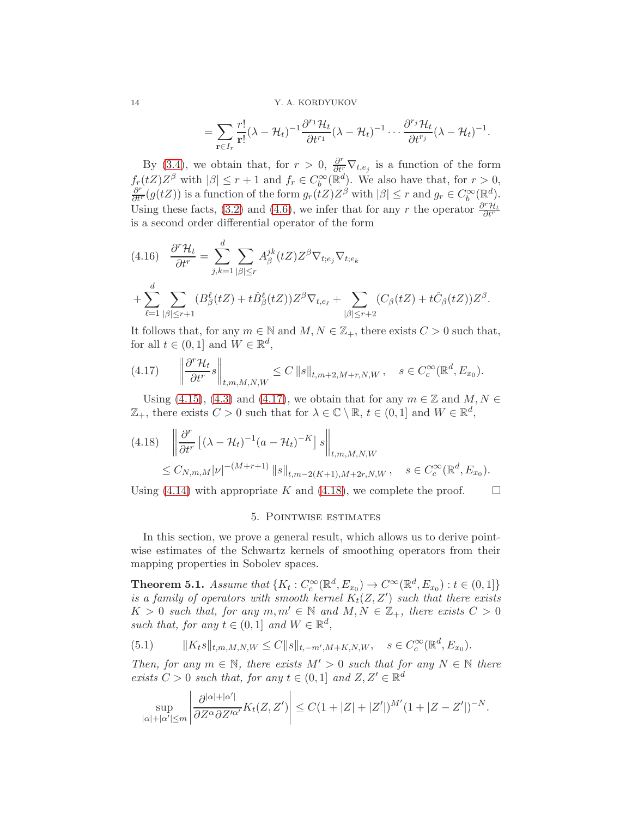$$
= \sum_{\mathbf{r}\in I_r} \frac{r!}{\mathbf{r}!}(\lambda - \mathcal{H}_t)^{-1} \frac{\partial^{r_1} \mathcal{H}_t}{\partial t^{r_1}}(\lambda - \mathcal{H}_t)^{-1} \cdots \frac{\partial^{r_j} \mathcal{H}_t}{\partial t^{r_j}}(\lambda - \mathcal{H}_t)^{-1}.
$$

By [\(3.4\)](#page-8-0), we obtain that, for  $r > 0$ ,  $\frac{\partial^r}{\partial t^r} \nabla_{t,e_j}$  is a function of the form  $f_r(tZ)Z^{\beta}$  with  $|\beta| \leq r+1$  and  $f_r \in C_b^{\infty}(\mathbb{R}^d)$ . We also have that, for  $r > 0$ ,  $\frac{\partial^r}{\partial t^r}(g(tZ))$  is a function of the form  $g_r(tZ)Z^{\beta}$  with  $|\beta| \leq r$  and  $g_r \in C_b^{\infty}(\mathbb{R}^d)$ . Using these facts, [\(3.2\)](#page-7-1) and [\(4.6\)](#page-11-4), we infer that for any r the operator  $\frac{\partial^r \mathcal{H}_t}{\partial t^r}$ is a second order differential operator of the form

<span id="page-13-4"></span>
$$
(4.16) \quad \frac{\partial^r \mathcal{H}_t}{\partial t^r} = \sum_{j,k=1}^d \sum_{|\beta| \le r} A_{\beta}^{jk}(tZ) Z^{\beta} \nabla_{t;e_j} \nabla_{t;e_k}
$$

$$
+ \sum_{\ell=1}^d \sum_{|\beta| \le r+1} (B_{\beta}^{\ell}(tZ) + t \hat{B}_{\beta}^{\ell}(tZ)) Z^{\beta} \nabla_{t,e_{\ell}} + \sum_{|\beta| \le r+2} (C_{\beta}(tZ) + t \hat{C}_{\beta}(tZ)) Z^{\beta}.
$$

It follows that, for any  $m \in \mathbb{N}$  and  $M, N \in \mathbb{Z}_+$ , there exists  $C > 0$  such that, for all  $t \in (0,1]$  and  $W \in \mathbb{R}^d$ ,

<span id="page-13-0"></span>
$$
(4.17) \qquad \left\|\frac{\partial^r \mathcal{H}_t}{\partial t^r}s\right\|_{t,m,M,N,W} \leq C \left\|s\right\|_{t,m+2,M+r,N,W}, \quad s \in C_c^{\infty}(\mathbb{R}^d, E_{x_0}).
$$

Using [\(4.15\)](#page-12-2), [\(4.3\)](#page-10-0) and [\(4.17\)](#page-13-0), we obtain that for any  $m \in \mathbb{Z}$  and  $M, N \in$  $\mathbb{Z}_+$ , there exists  $C > 0$  such that for  $\lambda \in \mathbb{C} \setminus \mathbb{R}$ ,  $t \in (0,1]$  and  $W \in \mathbb{R}^d$ ,

<span id="page-13-1"></span>
$$
(4.18) \quad \left\| \frac{\partial^r}{\partial t^r} \left[ (\lambda - \mathcal{H}_t)^{-1} (a - \mathcal{H}_t)^{-K} \right] s \right\|_{t, m, M, N, W}
$$
  
 
$$
\leq C_{N, m, M} |\nu|^{-(M+r+1)} \|s\|_{t, m-2(K+1), M+2r, N, W}, \quad s \in C_c^{\infty}(\mathbb{R}^d, E_{x_0}).
$$

Using [\(4.14\)](#page-12-3) with appropriate K and [\(4.18\)](#page-13-1), we complete the proof.  $\Box$ 

## 5. Pointwise estimates

In this section, we prove a general result, which allows us to derive pointwise estimates of the Schwartz kernels of smoothing operators from their mapping properties in Sobolev spaces.

<span id="page-13-3"></span>**Theorem 5.1.** Assume that  $\{K_t: C_c^{\infty}(\mathbb{R}^d, E_{x_0}) \to C_c^{\infty}(\mathbb{R}^d, E_{x_0}) : t \in (0,1]\}$ is a family of operators with smooth kernel  $K_t(Z, Z')$  such that there exists  $K > 0$  such that, for any  $m, m' \in \mathbb{N}$  and  $M, N \in \mathbb{Z}_+$ , there exists  $C > 0$ such that, for any  $t \in (0,1]$  and  $W \in \mathbb{R}^d$ ,

<span id="page-13-2"></span>(5.1) 
$$
||K_t s||_{t,m,M,N,W} \leq C ||s||_{t,-m',M+K,N,W}, \quad s \in C_c^{\infty}(\mathbb{R}^d, E_{x_0}).
$$

Then, for any  $m \in \mathbb{N}$ , there exists  $M' > 0$  such that for any  $N \in \mathbb{N}$  there exists  $C > 0$  such that, for any  $t \in (0,1]$  and  $Z, Z' \in \mathbb{R}^d$ 

$$
\sup_{|\alpha|+|\alpha'|\leq m} \left| \frac{\partial^{|\alpha|+|\alpha'|}}{\partial Z^{\alpha} \partial Z'^{\alpha'}} K_t(Z,Z') \right| \leq C(1+|Z|+|Z'|)^{M'}(1+|Z-Z'|)^{-N}.
$$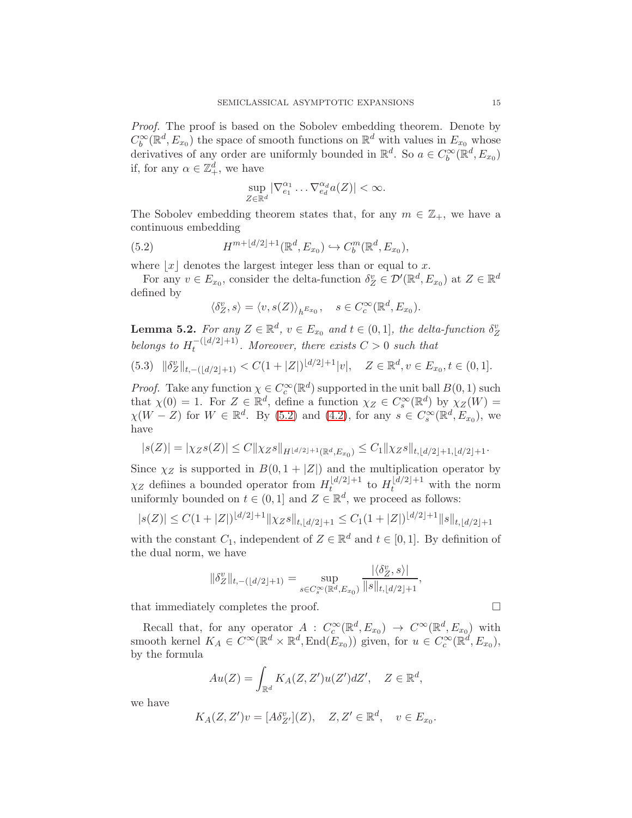Proof. The proof is based on the Sobolev embedding theorem. Denote by  $C_b^{\infty}(\mathbb{R}^d, E_{x_0})$  the space of smooth functions on  $\mathbb{R}^d$  with values in  $E_{x_0}$  whose derivatives of any order are uniformly bounded in  $\mathbb{R}^d$ . So  $a \in C_b^{\infty}(\mathbb{R}^d, E_{x_0})$ if, for any  $\alpha \in \mathbb{Z}_+^d$ , we have

$$
\sup_{Z \in \mathbb{R}^d} |\nabla_{e_1}^{\alpha_1} \dots \nabla_{e_d}^{\alpha_d} a(Z)| < \infty.
$$

The Sobolev embedding theorem states that, for any  $m \in \mathbb{Z}_+$ , we have a continuous embedding

(5.2) 
$$
H^{m+\lfloor d/2\rfloor+1}(\mathbb{R}^d, E_{x_0}) \hookrightarrow C_b^m(\mathbb{R}^d, E_{x_0}),
$$

where  $|x|$  denotes the largest integer less than or equal to x.

For any  $v \in E_{x_0}$ , consider the delta-function  $\delta_Z^v \in \mathcal{D}'(\mathbb{R}^d, E_{x_0})$  at  $Z \in \mathbb{R}^d$ defined by

<span id="page-14-0"></span>
$$
\langle \delta_Z^v, s \rangle = \langle v, s(Z) \rangle_{h^{E_{x_0}}}, \quad s \in C_c^{\infty}(\mathbb{R}^d, E_{x_0}).
$$

**Lemma 5.2.** For any  $Z \in \mathbb{R}^d$ ,  $v \in E_{x_0}$  and  $t \in (0,1]$ , the delta-function  $\delta_Z^v$ belongs to  $H_t^{-(d/2)+1}$ . Moreover, there exists  $C > 0$  such that

<span id="page-14-1"></span>
$$
(5.3) \quad \|\delta_Z^v\|_{t,-\left(\lfloor d/2\rfloor+1\right)} < C(1+|Z|)^{\lfloor d/2\rfloor+1}|v|, \quad Z \in \mathbb{R}^d, v \in E_{x_0}, t \in (0,1].
$$

*Proof.* Take any function  $\chi \in C_c^{\infty}(\mathbb{R}^d)$  supported in the unit ball  $B(0,1)$  such that  $\chi(0) = 1$ . For  $Z \in \mathbb{R}^d$ , define a function  $\chi_Z \in C_s^{\infty}(\mathbb{R}^d)$  by  $\chi_Z(W) =$  $\chi(W - Z)$  for  $W \in \mathbb{R}^d$ . By [\(5.2\)](#page-14-0) and [\(4.2\)](#page-10-3), for any  $s \in C_s^{\infty}(\mathbb{R}^d, E_{x_0})$ , we have

$$
|s(Z)| = |\chi_Z s(Z)| \le C \|\chi_Z s\|_{H^{\lfloor d/2 \rfloor + 1}(\mathbb{R}^d, E_{x_0})} \le C_1 \|\chi_Z s\|_{t, \lfloor d/2 \rfloor + 1, \lfloor d/2 \rfloor + 1}.
$$

Since  $\chi_Z$  is supported in  $B(0, 1 + |Z|)$  and the multiplication operator by  $\chi_Z$  defiines a bounded operator from  $H_t^{\lfloor d/2 \rfloor + 1}$  to  $H_t^{\lfloor d/2 \rfloor + 1}$  with the norm uniformly bounded on  $t \in (0,1]$  and  $Z \in \mathbb{R}^d$ , we proceed as follows:

$$
|s(Z)| \le C(1+|Z|)^{\lfloor d/2 \rfloor + 1} \|\chi_Z s\|_{t, \lfloor d/2 \rfloor + 1} \le C_1(1+|Z|)^{\lfloor d/2 \rfloor + 1} \|s\|_{t, \lfloor d/2 \rfloor + 1}
$$

with the constant  $C_1$ , independent of  $Z \in \mathbb{R}^d$  and  $t \in [0,1]$ . By definition of the dual norm, we have

$$
\|\delta_Z^v\|_{t,-(\lfloor d/2\rfloor+1)} = \sup_{s \in C^\infty_s(\mathbb{R}^d,E_{x_0})} \frac{|\langle \delta_Z^v,s \rangle|}{\|s\|_{t,\lfloor d/2\rfloor+1}},
$$

that immediately completes the proof.  $\Box$ 

Recall that, for any operator  $A: C_c^{\infty}(\mathbb{R}^d, E_{x_0}) \to C^{\infty}(\mathbb{R}^d, E_{x_0})$  with smooth kernel  $K_A \in C^{\infty}(\mathbb{R}^d \times \mathbb{R}^d, \text{End}(E_{x_0}))$  given, for  $u \in C_c^{\infty}(\mathbb{R}^d, E_{x_0}),$ by the formula

$$
Au(Z) = \int_{\mathbb{R}^d} K_A(Z, Z')u(Z')dZ', \quad Z \in \mathbb{R}^d,
$$

we have

$$
K_A(Z, Z')v = [A\delta_{Z'}^v](Z), \quad Z, Z' \in \mathbb{R}^d, \quad v \in E_{x_0}.
$$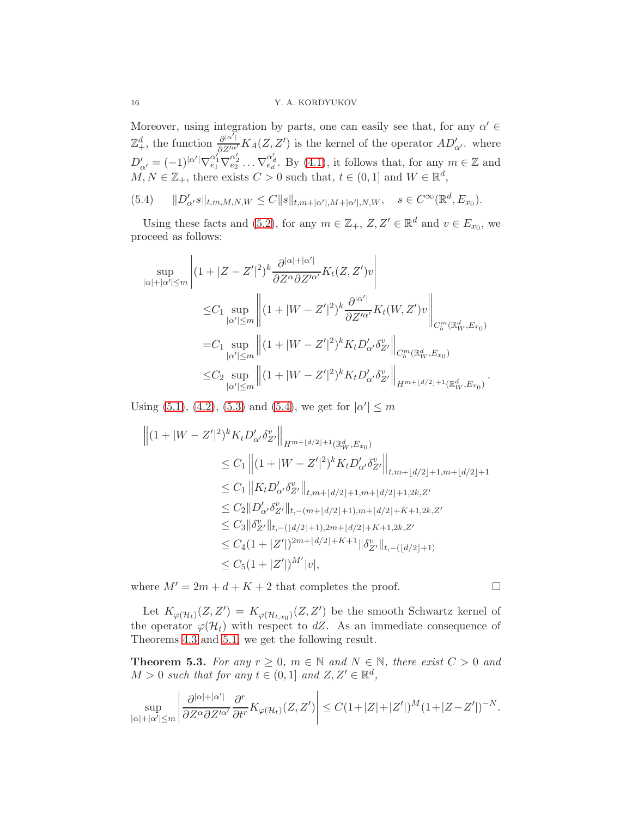Moreover, using integration by parts, one can easily see that, for any  $\alpha' \in$  $\mathbb{Z}^d_+$ , the function  $\frac{\partial^{|\alpha'|}}{\partial Z'^{\alpha'}} K_A(Z, Z')$  is the kernel of the operator  $AD'_{\alpha'}$ , where  $D'_{\alpha'} = (-1)^{|\alpha'|} \nabla_{e_1}^{\alpha'_1} \nabla_{e_2}^{\alpha'_2} \dots \nabla_{e_d}^{\alpha'_d}$ . By [\(4.1\)](#page-9-0), it follows that, for any  $m \in \mathbb{Z}$  and  $M, N \in \mathbb{Z}_+$ , there exists  $C > 0$  such that,  $t \in (0,1]$  and  $W \in \mathbb{R}^d$ ,

<span id="page-15-0"></span> $(5.4)$  $\int_{\alpha'} s \|_{t,m,M,N,W} \leq C \|s\|_{t,m+|\alpha'|,M+|\alpha'|,N,W}, \quad s \in C^{\infty}(\mathbb{R}^d, E_{x_0}).$ 

Using these facts and [\(5.2\)](#page-14-0), for any  $m \in \mathbb{Z}_+$ ,  $Z, Z' \in \mathbb{R}^d$  and  $v \in E_{x_0}$ , we proceed as follows:

$$
\sup_{|\alpha|+|\alpha'|\leq m} \left| (1+|Z-Z'|^2)^k \frac{\partial^{|\alpha|+|\alpha'|}}{\partial Z^{\alpha} \partial Z'^{\alpha'}} K_t(Z,Z')v \right|
$$
\n
$$
\leq C_1 \sup_{|\alpha'|\leq m} \left\| (1+|W-Z'|^2)^k \frac{\partial^{|\alpha'|}}{\partial Z'^{\alpha'}} K_t(W,Z')v \right\|_{C_b^m(\mathbb{R}_W^d,E_{x_0})}
$$
\n
$$
= C_1 \sup_{|\alpha'|\leq m} \left\| (1+|W-Z'|^2)^k K_t D'_{\alpha'} \delta_{Z'}^{v} \right\|_{C_b^m(\mathbb{R}_W^d,E_{x_0})}
$$
\n
$$
\leq C_2 \sup_{|\alpha'|\leq m} \left\| (1+|W-Z'|^2)^k K_t D'_{\alpha'} \delta_{Z'}^{v} \right\|_{H^{m+\lfloor d/2\rfloor+1}(\mathbb{R}_W^d,E_{x_0})}
$$

Using [\(5.1\)](#page-13-2), [\(4.2\)](#page-10-3), [\(5.3\)](#page-14-1) and [\(5.4\)](#page-15-0), we get for  $|\alpha'| \le m$ 

$$
\begin{split}\n\left\|(1+|W-Z'|^{2})^{k}K_{t}D'_{\alpha'}\delta_{Z'}^{v}\right\|_{H^{m+\lfloor d/2\rfloor+1}(\mathbb{R}_{W}^{d},E_{x_{0}})} \\
&\leq C_{1}\left\|(1+|W-Z'|^{2})^{k}K_{t}D'_{\alpha'}\delta_{Z'}^{v}\right\|_{t,m+\lfloor d/2\rfloor+1,m+\lfloor d/2\rfloor+1} \\
&\leq C_{1}\left\|K_{t}D'_{\alpha'}\delta_{Z'}^{v}\right\|_{t,m+\lfloor d/2\rfloor+1,m+\lfloor d/2\rfloor+1,2k,Z'} \\
&\leq C_{2}\|D'_{\alpha'}\delta_{Z'}^{v}\|_{t,-(m+\lfloor d/2\rfloor+1),m+\lfloor d/2\rfloor+K+1,2k,Z'} \\
&\leq C_{3}\|\delta_{Z'}^{v}\|_{t,-(\lfloor d/2\rfloor+1),2m+\lfloor d/2\rfloor+K+1,2k,Z'} \\
&\leq C_{4}(1+|Z'|)^{2m+\lfloor d/2\rfloor+K+1}\|\delta_{Z'}^{v}\|_{t,-(\lfloor d/2\rfloor+1)} \\
&\leq C_{5}(1+|Z'|)^{M'}|v|,\n\end{split}
$$

where  $M' = 2m + d + K + 2$  that completes the proof.

 $\overline{1}$ 

Let  $K_{\varphi(\mathcal{H}_t)}(Z,Z') = K_{\varphi(\mathcal{H}_{t,x_0})}(Z,Z')$  be the smooth Schwartz kernel of the operator  $\varphi(\mathcal{H}_t)$  with respect to dZ. As an immediate consequence of Theorems [4.3](#page-12-4) and [5.1,](#page-13-3) we get the following result.

<span id="page-15-1"></span>**Theorem 5.3.** For any  $r \geq 0$ ,  $m \in \mathbb{N}$  and  $N \in \mathbb{N}$ , there exist  $C > 0$  and  $M > 0$  such that for any  $t \in (0,1]$  and  $Z, Z' \in \mathbb{R}^d$ ,

$$
\sup_{|\alpha|+|\alpha'|\leq m} \left| \frac{\partial^{|\alpha|+|\alpha'|}}{\partial Z^{\alpha} \partial Z'^{\alpha'}} \frac{\partial^r}{\partial t^r} K_{\varphi(\mathcal{H}_t)}(Z,Z') \right| \leq C \left(1+|Z|+|Z'| \right)^M \left(1+|Z-Z'| \right)^{-N}.
$$

.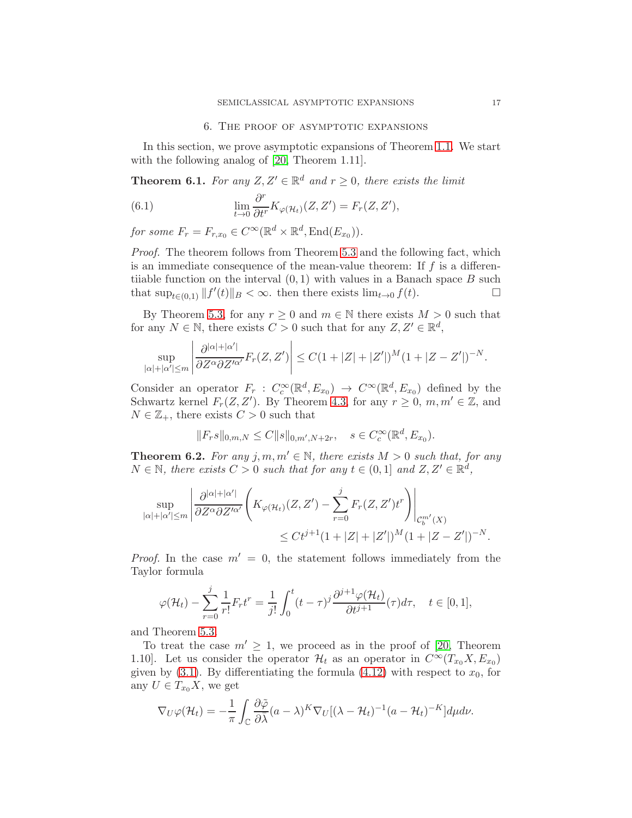## <span id="page-16-0"></span>6. The proof of asymptotic expansions

In this section, we prove asymptotic expansions of Theorem [1.1.](#page-2-2) We start with the following analog of [\[20,](#page-22-4) Theorem 1.11].

**Theorem 6.1.** For any  $Z, Z' \in \mathbb{R}^d$  and  $r \geq 0$ , there exists the limit

(6.1) 
$$
\lim_{t \to 0} \frac{\partial^r}{\partial t^r} K_{\varphi(\mathcal{H}_t)}(Z, Z') = F_r(Z, Z'),
$$

for some  $F_r = F_{r,x_0} \in C^{\infty}(\mathbb{R}^d \times \mathbb{R}^d, \text{End}(E_{x_0})).$ 

Proof. The theorem follows from Theorem [5.3](#page-15-1) and the following fact, which is an immediate consequence of the mean-value theorem: If  $f$  is a differentiiable function on the interval  $(0, 1)$  with values in a Banach space B such that  $\sup_{t\in(0,1)}||f'(t)||_B<\infty$ . then there exists  $\lim_{t\to 0}f(t)$ .

By Theorem [5.3,](#page-15-1) for any  $r \geq 0$  and  $m \in \mathbb{N}$  there exists  $M > 0$  such that for any  $N \in \mathbb{N}$ , there exists  $C > 0$  such that for any  $Z, Z' \in \mathbb{R}^d$ ,

$$
\sup_{|\alpha|+|\alpha'|\leq m} \left| \frac{\partial^{|\alpha|+|\alpha'|}}{\partial Z^{\alpha} \partial Z'^{\alpha'}} F_r(Z,Z') \right| \leq C(1+|Z|+|Z'|)^M (1+|Z-Z'|)^{-N}.
$$

Consider an operator  $F_r : C_c^{\infty}(\mathbb{R}^d, E_{x_0}) \to C^{\infty}(\mathbb{R}^d, E_{x_0})$  defined by the Schwartz kernel  $F_r(Z, Z')$ . By Theorem [4.3,](#page-12-4) for any  $r \geq 0$ ,  $m, m' \in \mathbb{Z}$ , and  $N \in \mathbb{Z}_+$ , there exists  $C > 0$  such that

$$
||F_r s||_{0,m,N} \leq C ||s||_{0,m',N+2r}, \quad s \in C_c^{\infty}(\mathbb{R}^d, E_{x_0}).
$$

**Theorem 6.2.** For any j, m,  $m' \in \mathbb{N}$ , there exists  $M > 0$  such that, for any  $N \in \mathbb{N}$ , there exists  $C > 0$  such that for any  $t \in (0,1]$  and  $Z, Z' \in \mathbb{R}^d$ ,

$$
\sup_{|\alpha|+|\alpha'| \le m} \left| \frac{\partial^{|\alpha|+|\alpha'|}}{\partial Z^{\alpha} \partial Z'^{\alpha'}} \left( K_{\varphi(\mathcal{H}_t)}(Z, Z') - \sum_{r=0}^j F_r(Z, Z') t^r \right) \right|_{\mathcal{C}_b^{m'}(X)} \le Ct^{j+1} (1+|Z|+|Z'|)^M (1+|Z-Z'|)^{-N}.
$$

*Proof.* In the case  $m' = 0$ , the statement follows immediately from the Taylor formula

$$
\varphi(\mathcal{H}_t) - \sum_{r=0}^j \frac{1}{r!} F_r t^r = \frac{1}{j!} \int_0^t (t-\tau)^j \frac{\partial^{j+1} \varphi(\mathcal{H}_t)}{\partial t^{j+1}}(\tau) d\tau, \quad t \in [0,1],
$$

and Theorem [5.3.](#page-15-1)

To treat the case  $m' \geq 1$ , we proceed as in the proof of [\[20,](#page-22-4) Theorem 1.10. Let us consider the operator  $\mathcal{H}_t$  as an operator in  $C^{\infty}(T_{x_0}X, E_{x_0})$ given by  $(3.1)$ . By differentiating the formula  $(4.12)$  with respect to  $x_0$ , for any  $U \in T_{x_0}X$ , we get

$$
\nabla_U \varphi(\mathcal{H}_t) = -\frac{1}{\pi} \int_{\mathbb{C}} \frac{\partial \tilde{\varphi}}{\partial \bar{\lambda}} (a - \lambda)^K \nabla_U [(\lambda - \mathcal{H}_t)^{-1} (a - \mathcal{H}_t)^{-K}] d\mu d\nu.
$$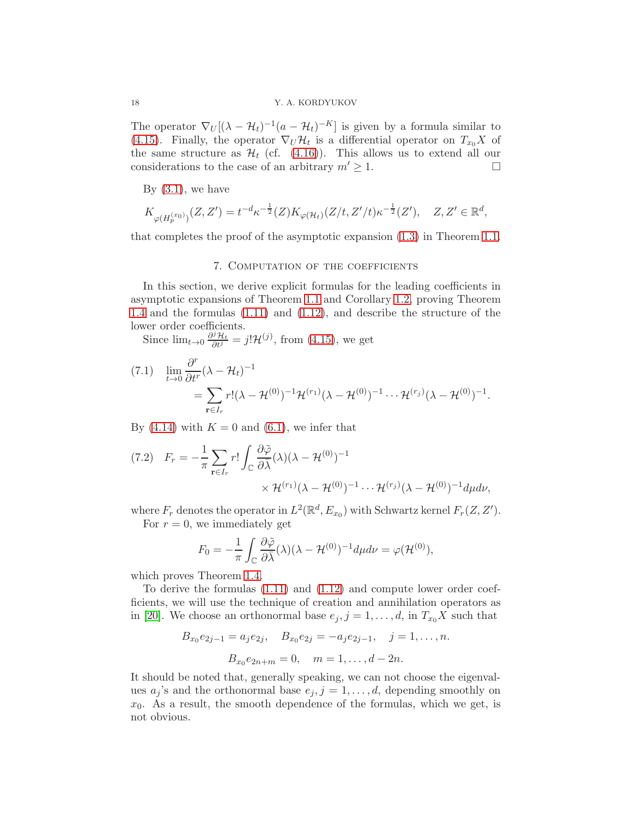The operator  $\nabla_U[(\lambda - \mathcal{H}_t)^{-1}(a - \mathcal{H}_t)^{-K}]$  is given by a formula similar to [\(4.15\)](#page-12-2). Finally, the operator  $\nabla_U \mathcal{H}_t$  is a differential operator on  $T_{x_0} X$  of the same structure as  $\mathcal{H}_t$  (cf. [\(4.16\)](#page-13-4)). This allows us to extend all our considerations to the case of an arbitrary  $m' > 1$ . considerations to the case of an arbitrary  $m' \geq 1$ .

By  $(3.1)$ , we have

$$
K_{\varphi(H_p^{(x_0)})}(Z,Z') = t^{-d}\kappa^{-\frac{1}{2}}(Z)K_{\varphi(\mathcal{H}_t)}(Z/t,Z'/t)\kappa^{-\frac{1}{2}}(Z'), \quad Z,Z' \in \mathbb{R}^d,
$$

<span id="page-17-0"></span>that completes the proof of the asymptotic expansion [\(1.3\)](#page-2-1) in Theorem [1.1.](#page-2-2)

# 7. Computation of the coefficients

In this section, we derive explicit formulas for the leading coefficients in asymptotic expansions of Theorem [1.1](#page-2-2) and Corollary [1.2,](#page-2-0) proving Theorem [1.4](#page-3-3) and the formulas [\(1.11\)](#page-4-0) and [\(1.12\)](#page-4-1), and describe the structure of the lower order coefficients.

Since  $\lim_{t\to 0} \frac{\partial^j \mathcal{H}_t}{\partial t^j} = j! \mathcal{H}^{(j)}$ , from [\(4.15\)](#page-12-2), we get

$$
(7.1) \quad \lim_{t \to 0} \frac{\partial^r}{\partial t^r} (\lambda - \mathcal{H}_t)^{-1}
$$
\n
$$
= \sum_{\mathbf{r} \in I_r} r! (\lambda - \mathcal{H}^{(0)})^{-1} \mathcal{H}^{(r_1)} (\lambda - \mathcal{H}^{(0)})^{-1} \cdots \mathcal{H}^{(r_j)} (\lambda - \mathcal{H}^{(0)})^{-1}.
$$

By [\(4.14\)](#page-12-3) with  $K = 0$  and [\(6.1\)](#page-16-0), we infer that

<span id="page-17-1"></span>
$$
(7.2) \quad F_r = -\frac{1}{\pi} \sum_{\mathbf{r} \in I_r} r! \int_{\mathbb{C}} \frac{\partial \tilde{\varphi}}{\partial \bar{\lambda}} (\lambda) (\lambda - \mathcal{H}^{(0)})^{-1} \times \mathcal{H}^{(r_1)}(\lambda - \mathcal{H}^{(0)})^{-1} \cdots \mathcal{H}^{(r_j)}(\lambda - \mathcal{H}^{(0)})^{-1} d\mu d\nu,
$$

where  $F_r$  denotes the operator in  $L^2(\mathbb{R}^d, E_{x_0})$  with Schwartz kernel  $F_r(Z, Z').$ For  $r = 0$ , we immediately get

$$
F_0 = -\frac{1}{\pi} \int_{\mathbb{C}} \frac{\partial \tilde{\varphi}}{\partial \bar{\lambda}}(\lambda) (\lambda - \mathcal{H}^{(0)})^{-1} d\mu d\nu = \varphi(\mathcal{H}^{(0)}),
$$

which proves Theorem [1.4.](#page-3-3)

To derive the formulas [\(1.11\)](#page-4-0) and [\(1.12\)](#page-4-1) and compute lower order coefficients, we will use the technique of creation and annihilation operators as in [\[20\]](#page-22-4). We choose an orthonormal base  $e_j$ ,  $j = 1, \ldots, d$ , in  $T_{x_0}X$  such that

$$
B_{x_0}e_{2j-1} = a_j e_{2j}, \quad B_{x_0}e_{2j} = -a_j e_{2j-1}, \quad j = 1, ..., n.
$$

$$
B_{x_0}e_{2n+m} = 0, \quad m = 1, ..., d-2n.
$$

It should be noted that, generally speaking, we can not choose the eigenvalues  $a_j$ 's and the orthonormal base  $e_j$ ,  $j = 1, \ldots, d$ , depending smoothly on  $x_0$ . As a result, the smooth dependence of the formulas, which we get, is not obvious.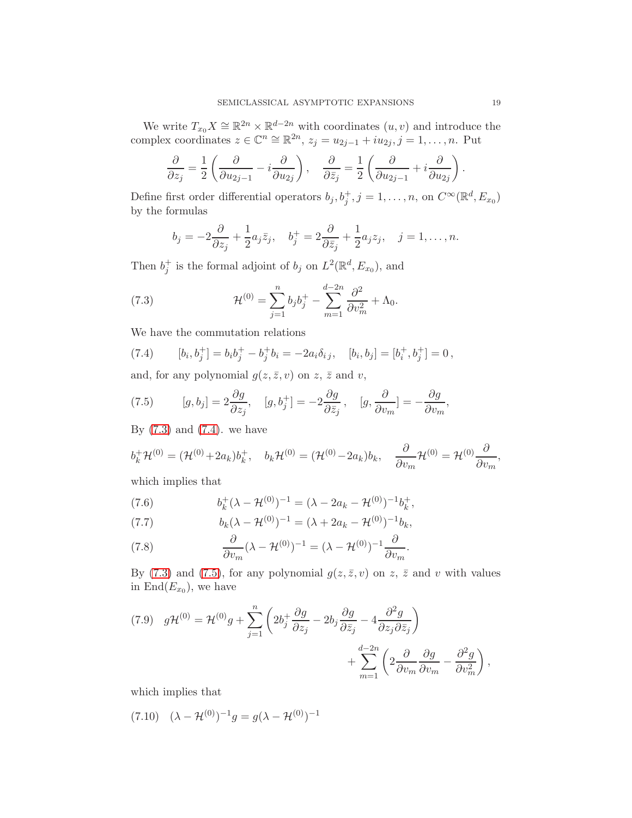We write  $T_{x_0}X \cong \mathbb{R}^{2n} \times \mathbb{R}^{d-2n}$  with coordinates  $(u, v)$  and introduce the complex coordinates  $z \in \mathbb{C}^n \cong \mathbb{R}^{2n}$ ,  $z_j = u_{2j-1} + i u_{2j}$ ,  $j = 1, ..., n$ . Put

$$
\frac{\partial}{\partial z_j} = \frac{1}{2} \left( \frac{\partial}{\partial u_{2j-1}} - i \frac{\partial}{\partial u_{2j}} \right), \quad \frac{\partial}{\partial \bar{z}_j} = \frac{1}{2} \left( \frac{\partial}{\partial u_{2j-1}} + i \frac{\partial}{\partial u_{2j}} \right)
$$

Define first order differential operators  $b_j, b_j^+, j = 1, \ldots, n$ , on  $C^{\infty}(\mathbb{R}^d, E_{x_0})$ by the formulas

<span id="page-18-0"></span>
$$
b_j = -2\frac{\partial}{\partial z_j} + \frac{1}{2}a_j\overline{z}_j
$$
,  $b_j^+ = 2\frac{\partial}{\partial \overline{z}_j} + \frac{1}{2}a_jz_j$ ,  $j = 1, ..., n$ .

Then  $b_j^+$  is the formal adjoint of  $b_j$  on  $L^2(\mathbb{R}^d, E_{x_0})$ , and

(7.3) 
$$
\mathcal{H}^{(0)} = \sum_{j=1}^{n} b_j b_j^+ - \sum_{m=1}^{d-2n} \frac{\partial^2}{\partial v_m^2} + \Lambda_0.
$$

We have the commutation relations

<span id="page-18-1"></span>(7.4) 
$$
[b_i, b_j^+] = b_i b_j^+ - b_j^+ b_i = -2a_i \delta_{ij}, \quad [b_i, b_j] = [b_i^+, b_j^+] = 0,
$$

and, for any polynomial  $g(z, \bar{z}, v)$  on  $z, \bar{z}$  and  $v$ ,

<span id="page-18-2"></span>(7.5) 
$$
[g, b_j] = 2 \frac{\partial g}{\partial z_j}, \quad [g, b_j^+] = -2 \frac{\partial g}{\partial \bar{z}_j}, \quad [g, \frac{\partial}{\partial v_m}] = -\frac{\partial g}{\partial v_m},
$$

By  $(7.3)$  and  $(7.4)$ . we have

$$
b_k^+ \mathcal{H}^{(0)} = (\mathcal{H}^{(0)} + 2a_k)b_k^+, \quad b_k \mathcal{H}^{(0)} = (\mathcal{H}^{(0)} - 2a_k)b_k, \quad \frac{\partial}{\partial v_m} \mathcal{H}^{(0)} = \mathcal{H}^{(0)} \frac{\partial}{\partial v_m},
$$

which implies that

<span id="page-18-4"></span>(7.6) 
$$
b_k^+(\lambda - \mathcal{H}^{(0)})^{-1} = (\lambda - 2a_k - \mathcal{H}^{(0)})^{-1}b_k^+,
$$

<span id="page-18-5"></span>(7.7) 
$$
b_k(\lambda - \mathcal{H}^{(0)})^{-1} = (\lambda + 2a_k - \mathcal{H}^{(0)})^{-1}b_k,
$$

<span id="page-18-6"></span>(7.8) 
$$
\frac{\partial}{\partial v_m} (\lambda - \mathcal{H}^{(0)})^{-1} = (\lambda - \mathcal{H}^{(0)})^{-1} \frac{\partial}{\partial v_m}.
$$

By [\(7.3\)](#page-18-0) and [\(7.5\)](#page-18-2), for any polynomial  $g(z, \bar{z}, v)$  on z,  $\bar{z}$  and v with values in  $\text{End}(E_{x_0})$ , we have

(7.9) 
$$
g\mathcal{H}^{(0)} = \mathcal{H}^{(0)}g + \sum_{j=1}^{n} \left(2b_j^+ \frac{\partial g}{\partial z_j} - 2b_j \frac{\partial g}{\partial \bar{z}_j} - 4 \frac{\partial^2 g}{\partial z_j \partial \bar{z}_j}\right) + \sum_{m=1}^{d-2n} \left(2 \frac{\partial}{\partial v_m} \frac{\partial g}{\partial v_m} - \frac{\partial^2 g}{\partial v_m^2}\right),
$$

which implies that

<span id="page-18-3"></span>
$$
(7.10) \quad (\lambda - \mathcal{H}^{(0)})^{-1}g = g(\lambda - \mathcal{H}^{(0)})^{-1}
$$

.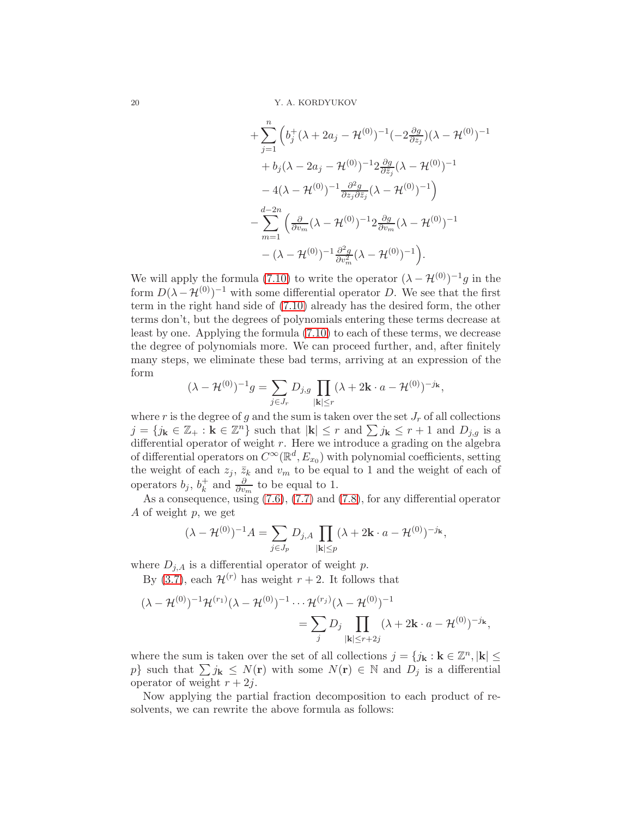+
$$
\sum_{j=1}^{n} \left( b_j^+(\lambda + 2a_j - \mathcal{H}^{(0)})^{-1} (-2\frac{\partial g}{\partial z_j})(\lambda - \mathcal{H}^{(0)})^{-1} \right. \\
\left. + b_j(\lambda - 2a_j - \mathcal{H}^{(0)})^{-1} 2\frac{\partial g}{\partial \bar{z}_j} (\lambda - \mathcal{H}^{(0)})^{-1} \right. \\
\left. - 4(\lambda - \mathcal{H}^{(0)})^{-1} \frac{\partial^2 g}{\partial z_j \partial \bar{z}_j} (\lambda - \mathcal{H}^{(0)})^{-1} \right) \\
\left. - \sum_{m=1}^{d-2n} \left( \frac{\partial}{\partial v_m} (\lambda - \mathcal{H}^{(0)})^{-1} 2\frac{\partial g}{\partial v_m} (\lambda - \mathcal{H}^{(0)})^{-1} \right. \\
\left. - (\lambda - \mathcal{H}^{(0)})^{-1} \frac{\partial^2 g}{\partial v_m^2} (\lambda - \mathcal{H}^{(0)})^{-1} \right).
$$

We will apply the formula [\(7.10\)](#page-18-3) to write the operator  $(\lambda - \mathcal{H}^{(0)})^{-1}g$  in the form  $D(\lambda - \mathcal{H}^{(0)})^{-1}$  with some differential operator D. We see that the first term in the right hand side of [\(7.10\)](#page-18-3) already has the desired form, the other terms don't, but the degrees of polynomials entering these terms decrease at least by one. Applying the formula [\(7.10\)](#page-18-3) to each of these terms, we decrease the degree of polynomials more. We can proceed further, and, after finitely many steps, we eliminate these bad terms, arriving at an expression of the form

$$
(\lambda - \mathcal{H}^{(0)})^{-1} g = \sum_{j \in J_r} D_{j,g} \prod_{|\mathbf{k}| \leq r} (\lambda + 2\mathbf{k} \cdot a - \mathcal{H}^{(0)})^{-j_{\mathbf{k}}},
$$

where r is the degree of g and the sum is taken over the set  $J_r$  of all collections  $j = \{j_k \in \mathbb{Z}_+ : k \in \mathbb{Z}^n\}$  such that  $|k| \leq r$  and  $\sum j_k \leq r + 1$  and  $D_{j,g}$  is a differential operator of weight  $r$ . Here we introduce a grading on the algebra of differential operators on  $C^{\infty}(\mathbb{R}^d, E_{x_0})$  with polynomial coefficients, setting the weight of each  $z_j$ ,  $\bar{z}_k$  and  $v_m$  to be equal to 1 and the weight of each of operators  $b_j, b_k^+$  $\frac{1}{k}$  and  $\frac{\partial}{\partial v_m}$  to be equal to 1.

As a consequence, using [\(7.6\)](#page-18-4), [\(7.7\)](#page-18-5) and [\(7.8\)](#page-18-6), for any differential operator A of weight p, we get

$$
(\lambda - \mathcal{H}^{(0)})^{-1}A = \sum_{j \in J_p} D_{j,A} \prod_{|\mathbf{k}| \le p} (\lambda + 2\mathbf{k} \cdot a - \mathcal{H}^{(0)})^{-j_{\mathbf{k}}},
$$

where  $D_{j,A}$  is a differential operator of weight p.

By [\(3.7\)](#page-8-1), each  $\mathcal{H}^{(r)}$  has weight  $r + 2$ . It follows that

$$
(\lambda - \mathcal{H}^{(0)})^{-1} \mathcal{H}^{(r_1)}(\lambda - \mathcal{H}^{(0)})^{-1} \cdots \mathcal{H}^{(r_j)}(\lambda - \mathcal{H}^{(0)})^{-1}
$$
  
= 
$$
\sum_{j} D_j \prod_{|\mathbf{k}| \leq r+2j} (\lambda + 2\mathbf{k} \cdot a - \mathcal{H}^{(0)})^{-j_{\mathbf{k}}},
$$

where the sum is taken over the set of all collections  $j = \{j_k : k \in \mathbb{Z}^n, |k| \leq \}$ p} such that  $\sum j_{\mathbf{k}} \leq N(\mathbf{r})$  with some  $N(\mathbf{r}) \in \mathbb{N}$  and  $D_j$  is a differential operator of weight  $r + 2i$ .

Now applying the partial fraction decomposition to each product of resolvents, we can rewrite the above formula as follows: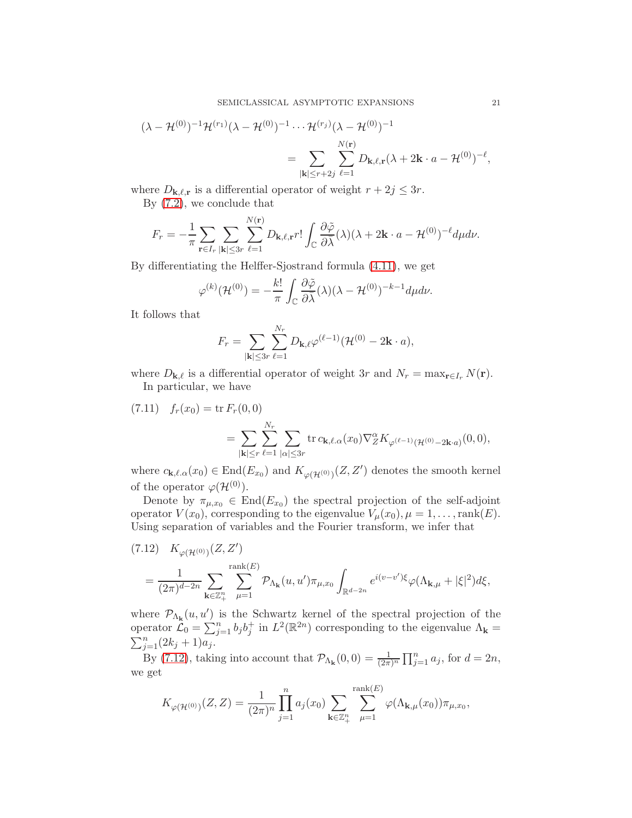$$
(\lambda - \mathcal{H}^{(0)})^{-1} \mathcal{H}^{(r_1)}(\lambda - \mathcal{H}^{(0)})^{-1} \cdots \mathcal{H}^{(r_j)}(\lambda - \mathcal{H}^{(0)})^{-1}
$$
  
= 
$$
\sum_{|\mathbf{k}| \leq r+2j} \sum_{\ell=1}^{N(\mathbf{r})} D_{\mathbf{k},\ell,\mathbf{r}}(\lambda + 2\mathbf{k} \cdot a - \mathcal{H}^{(0)})^{-\ell},
$$

where  $D_{\mathbf{k},\ell,\mathbf{r}}$  is a differential operator of weight  $r + 2j \leq 3r$ .

By [\(7.2\)](#page-17-1), we conclude that

$$
F_r=-\frac{1}{\pi}\sum_{\mathbf{r}\in I_r}\sum_{|\mathbf{k}|\leq 3r}\sum_{\ell=1}^{N(\mathbf{r})}D_{\mathbf{k},\ell,\mathbf{r}}r!\int_{\mathbb{C}}\frac{\partial\tilde{\varphi}}{\partial\bar{\lambda}}(\lambda)(\lambda+2\mathbf{k}\cdot a-\mathcal{H}^{(0)})^{-\ell}d\mu d\nu.
$$

By differentiating the Helffer-Sjostrand formula [\(4.11\)](#page-12-0), we get

$$
\varphi^{(k)}(\mathcal{H}^{(0)}) = -\frac{k!}{\pi} \int_{\mathbb{C}} \frac{\partial \tilde{\varphi}}{\partial \overline{\lambda}}(\lambda) (\lambda - \mathcal{H}^{(0)})^{-k-1} d\mu d\nu.
$$

It follows that

$$
F_r = \sum_{|\mathbf{k}| \leq 3r} \sum_{\ell=1}^{N_r} D_{\mathbf{k},\ell} \varphi^{(\ell-1)}(\mathcal{H}^{(0)} - 2\mathbf{k} \cdot a),
$$

where  $D_{\mathbf{k},\ell}$  is a differential operator of weight 3r and  $N_r = \max_{\mathbf{r} \in I_r} N(\mathbf{r}).$ In particular, we have

<span id="page-20-1"></span>(7.11) 
$$
f_r(x_0) = \text{tr } F_r(0,0)
$$

$$
= \sum_{|\mathbf{k}| \le r} \sum_{\ell=1}^{N_r} \sum_{|\alpha| \le 3r} \text{tr } c_{\mathbf{k},\ell,\alpha}(x_0) \nabla_Z^{\alpha} K_{\varphi(\ell-1)}(\mathcal{H}^{(0)} - 2\mathbf{k} \cdot a)}(0,0),
$$

where  $c_{\mathbf{k},\ell,\alpha}(x_0) \in \text{End}(E_{x_0})$  and  $K_{\varphi(\mathcal{H}^{(0)})}(Z,Z')$  denotes the smooth kernel of the operator  $\varphi(\mathcal{H}^{(0)})$ .

Denote by  $\pi_{\mu,x_0} \in \text{End}(E_{x_0})$  the spectral projection of the self-adjoint operator  $V(x_0)$ , corresponding to the eigenvalue  $V_\mu(x_0), \mu = 1, \ldots, \text{rank}(E)$ . Using separation of variables and the Fourier transform, we infer that

<span id="page-20-0"></span>
$$
(7.12) \quad K_{\varphi(\mathcal{H}^{(0)})}(Z, Z')
$$
  
= 
$$
\frac{1}{(2\pi)^{d-2n}} \sum_{\mathbf{k} \in \mathbb{Z}_{+}^{n}} \sum_{\mu=1}^{\text{rank}(E)} \mathcal{P}_{\Lambda_{\mathbf{k}}}(u, u') \pi_{\mu, x_{0}} \int_{\mathbb{R}^{d-2n}} e^{i(v-v')\xi} \varphi(\Lambda_{\mathbf{k}, \mu} + |\xi|^{2}) d\xi,
$$

where  $\mathcal{P}_{\Lambda_{\mathbf{k}}}(u, u')$  is the Schwartz kernel of the spectral projection of the operator  $\mathcal{L}_0 = \sum_{j=1}^n b_j b_j^+$  in  $L^2(\mathbb{R}^{2n})$  corresponding to the eigenvalue  $\Lambda_{\mathbf{k}} =$  $\sum_{j=1}^{n} (2k_j + 1)a_j$ .

By [\(7.12\)](#page-20-0), taking into account that  $\mathcal{P}_{\Lambda_{\mathbf{k}}}(0,0) = \frac{1}{(2\pi)^n} \prod_{j=1}^n a_j$ , for  $d=2n$ , we get

$$
K_{\varphi(\mathcal{H}^{(0)})}(Z,Z) = \frac{1}{(2\pi)^n} \prod_{j=1}^n a_j(x_0) \sum_{\mathbf{k} \in \mathbb{Z}_+^n} \sum_{\mu=1}^{\text{rank}(E)} \varphi(\Lambda_{\mathbf{k},\mu}(x_0)) \pi_{\mu,x_0},
$$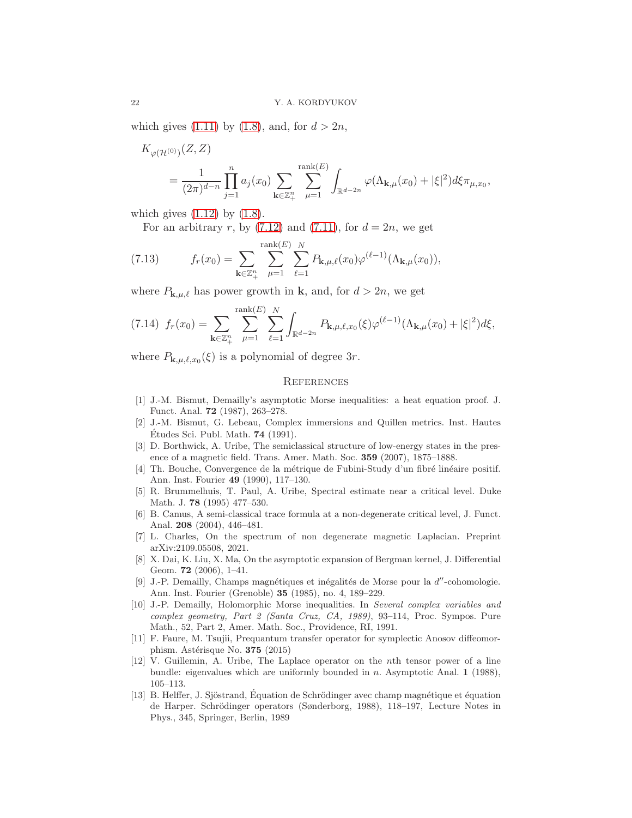which gives [\(1.11\)](#page-4-0) by [\(1.8\)](#page-3-4), and, for  $d > 2n$ ,

$$
K_{\varphi(\mathcal{H}^{(0)})}(Z, Z)
$$
  
=  $\frac{1}{(2\pi)^{d-n}} \prod_{j=1}^{n} a_j(x_0) \sum_{\mathbf{k} \in \mathbb{Z}_+^n} \sum_{\mu=1}^{\text{rank}(E)} \int_{\mathbb{R}^{d-2n}} \varphi(\Lambda_{\mathbf{k},\mu}(x_0) + |\xi|^2) d\xi \pi_{\mu,x_0},$ 

which gives  $(1.12)$  by  $(1.8)$ .

<span id="page-21-5"></span>For an arbitrary r, by  $(7.12)$  and  $(7.11)$ , for  $d = 2n$ , we get

(7.13) 
$$
f_r(x_0) = \sum_{\mathbf{k} \in \mathbb{Z}_+^n} \sum_{\mu=1}^{\text{rank}(E)} \sum_{\ell=1}^N P_{\mathbf{k},\mu,\ell}(x_0) \varphi^{(\ell-1)}(\Lambda_{\mathbf{k},\mu}(x_0)),
$$

where  $P_{\mathbf{k},\mu,\ell}$  has power growth in **k**, and, for  $d > 2n$ , we get

<span id="page-21-6"></span>
$$
(7.14) \ \ f_r(x_0) = \sum_{\mathbf{k}\in\mathbb{Z}_+^n} \sum_{\mu=1}^{\text{rank}(E)} \sum_{\ell=1}^N \int_{\mathbb{R}^{d-2n}} P_{\mathbf{k},\mu,\ell,x_0}(\xi) \varphi^{(\ell-1)}(\Lambda_{\mathbf{k},\mu}(x_0) + |\xi|^2) d\xi,
$$

where  $P_{\mathbf{k},\mu,\ell,x_0}(\xi)$  is a polynomial of degree 3r.

## **REFERENCES**

- <span id="page-21-1"></span>[1] J.-M. Bismut, Demailly's asymptotic Morse inequalities: a heat equation proof. J. Funct. Anal. 72 (1987), 263–278.
- <span id="page-21-8"></span>[2] J.-M. Bismut, G. Lebeau, Complex immersions and Quillen metrics. Inst. Hautes Études Sci. Publ. Math.  $74$  (1991).
- <span id="page-21-13"></span>[3] D. Borthwick, A. Uribe, The semiclassical structure of low-energy states in the presence of a magnetic field. Trans. Amer. Math. Soc. 359 (2007), 1875–1888.
- <span id="page-21-10"></span>[4] Th. Bouche, Convergence de la métrique de Fubini-Study d'un fibré linéaire positif. Ann. Inst. Fourier 49 (1990), 117–130.
- <span id="page-21-11"></span>[5] R. Brummelhuis, T. Paul, A. Uribe, Spectral estimate near a critical level. Duke Math. J. 78 (1995) 477–530.
- <span id="page-21-12"></span>[6] B. Camus, A semi-classical trace formula at a non-degenerate critical level, J. Funct. Anal. 208 (2004), 446–481.
- <span id="page-21-3"></span>[7] L. Charles, On the spectrum of non degenerate magnetic Laplacian. Preprint arXiv:2109.05508, 2021.
- <span id="page-21-7"></span>[8] X. Dai, K. Liu, X. Ma, On the asymptotic expansion of Bergman kernel, J. Differential Geom. 72 (2006), 1–41.
- <span id="page-21-0"></span>[9] J.-P. Demailly, Champs magnétiques et inégalités de Morse pour la  $d''$ -cohomologie. Ann. Inst. Fourier (Grenoble) 35 (1985), no. 4, 189–229.
- <span id="page-21-2"></span>[10] J.-P. Demailly, Holomorphic Morse inequalities. In Several complex variables and complex geometry, Part 2 (Santa Cruz, CA, 1989), 93–114, Proc. Sympos. Pure Math., 52, Part 2, Amer. Math. Soc., Providence, RI, 1991.
- <span id="page-21-4"></span>[11] F. Faure, M. Tsujii, Prequantum transfer operator for symplectic Anosov diffeomorphism. Astérisque No. 375 (2015)
- [12] V. Guillemin, A. Uribe, The Laplace operator on the nth tensor power of a line bundle: eigenvalues which are uniformly bounded in n. Asymptotic Anal. 1 (1988), 105–113.
- <span id="page-21-9"></span>[13] B. Helffer, J. Sjöstrand, Equation de Schrödinger avec champ magnétique et équation de Harper. Schrödinger operators (Sønderborg, 1988), 118–197, Lecture Notes in Phys., 345, Springer, Berlin, 1989